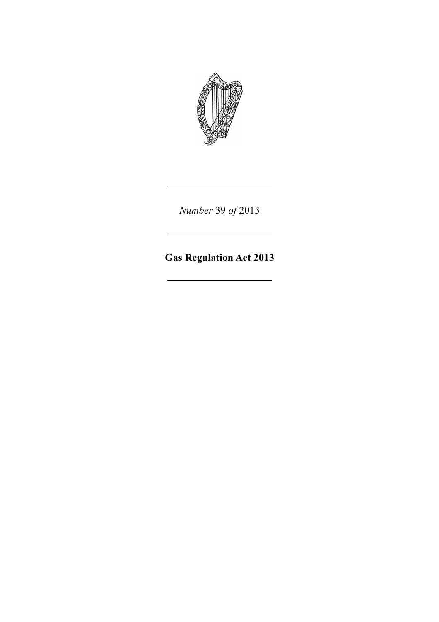

*Number* 39 *of* 2013

# **Gas Regulation Act 2013**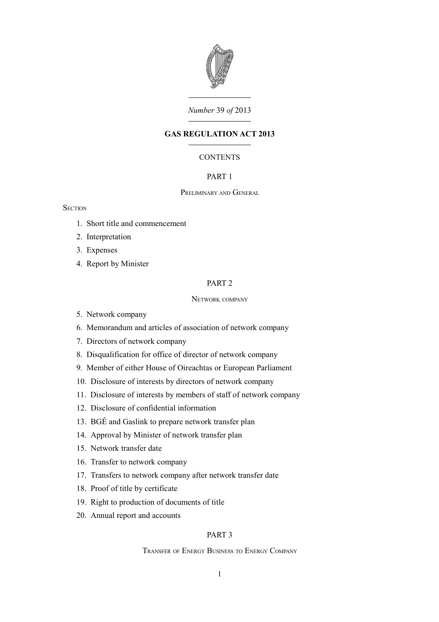

# *Number* 39 *of* 2013

# **GAS REGULATION ACT 2013**

# **CONTENTS**

# [PART 1](#page-6-0)

# P[RELIMINARY](#page-6-3) AND GENERAL

## **SECTION**

- 1. [Short title and commencement](#page-6-2)
- 2. [Interpretation](#page-6-1)
- 3. [Expenses](#page-8-1)
- 4. [Report by Minister](#page-8-0)

# [PART 2](#page-9-4)

#### NETWORK [COMPANY](#page-9-3)

- 5. [Network company](#page-9-2)
- 6. [Memorandum and articles of association of network company](#page-9-1)
- 7. [Directors of network company](#page-9-0)
- 8. [Disqualification for office of director of network company](#page-10-1)
- 9. [Member of either House of Oireachtas or European Parliament](#page-10-0)
- 10. [Disclosure of interests by directors of network company](#page-11-0)
- 11. [Disclosure of interests by members of staff of network company](#page-12-1)
- 12. [Disclosure of confidential information](#page-12-0)
- 13. [BGÉ and Gaslink to prepare network transfer plan](#page-13-3)
- 14. [Approval by Minister of network transfer plan](#page-13-2)
- 15. [Network transfer date](#page-13-1)
- 16. [Transfer to network company](#page-13-0)
- 17. [Transfers to network company after network transfer date](#page-14-2)
- 18. [Proof of title by certificate](#page-14-1)
- 19. [Right to production of documents of title](#page-14-0)
- 20. [Annual report and accounts](#page-15-2)

#### [PART 3](#page-15-1)

T[RANSFER](#page-15-0) OF ENERGY BUSINESS TO ENERGY COMPANY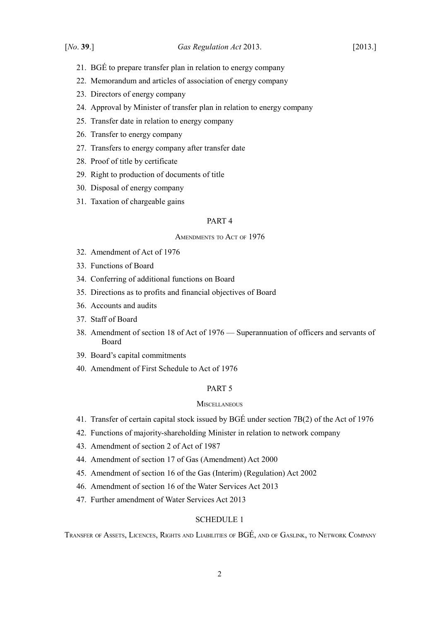- 21. [BGÉ to prepare transfer plan in relation to energy company](#page-15-4)
- 22. [Memorandum and articles of association of energy company](#page-15-3)
- 23. [Directors of energy company](#page-16-2)
- 24. [Approval by Minister of transfer plan in relation to energy company](#page-16-1)
- 25. [Transfer date in relation to energy company](#page-16-0)
- 26. [Transfer to energy company](#page-17-2)
- 27. [Transfers to energy company after transfer date](#page-17-1)
- 28. [Proof of title by certificate](#page-17-0)
- 29. [Right to production of documents of title](#page-18-5)
- 30. [Disposal of energy company](#page-18-4)
- 31. [Taxation of chargeable gains](#page-18-3)

#### [PART 4](#page-18-2)

#### A[MENDMENTS](#page-18-1) TO ACT OF 1976

- 32. [Amendment of Act of 1976](#page-18-0)
- 33. [Functions of Board](#page-21-0)
- 34. [Conferring of additional functions on Board](#page-23-0)
- 35. [Directions as to profits and financial objectives of Board](#page-24-0)
- 36. [Accounts and audits](#page-25-1)
- 37. [Staff of Board](#page-25-0)
- 38. [Amendment of section 18 of Act of 1976 Superannuation of officers and servants of](#page-26-0) [Board](#page-26-0)
- 39. [Board's capital commitments](#page-27-0)
- 40. [Amendment of First Schedule to Act of 1976](#page-28-0)

# [PART 5](#page-31-4)

#### **M[ISCELLANEOUS](#page-31-3)**

- 41. [Transfer of certain capital stock issued by BGÉ under section 7B\(2\) of the Act of 1976](#page-31-2)
- 42. [Functions of majority-shareholding Minister in relation to network company](#page-31-1)
- 43. [Amendment of section 2 of Act of 1987](#page-31-0)
- 44. [Amendment of section 17 of Gas \(Amendment\) Act 2000](#page-34-3)
- 45. [Amendment of section 16 of the Gas \(Interim\) \(Regulation\) Act 2002](#page-34-2)
- 46. [Amendment of section 16 of the Water Services Act 2013](#page-34-1)
- 47. [Further amendment of Water Services Act 2013](#page-34-0)

# [SCHEDULE 1](#page-36-1)

TRANSFER OF ASSETS, LICENCES, RIGHTS AND LIABILITIES OF [BGÉ,](#page-36-0) AND OF GASLINK, TO NETWORK COMPANY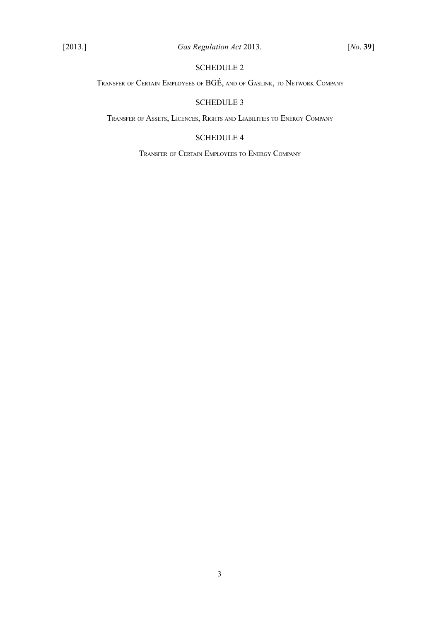# [SCHEDULE 2](#page-38-1)

TRANSFER OF CERTAIN EMPLOYEES OF [BGÉ,](#page-38-0) AND OF GASLINK, TO NETWORK COMPANY

# [SCHEDULE 3](#page-40-1)

TRANSFER OF ASSETS, LICENCES, RIGHTS AND L[IABILITIES](#page-40-0) TO ENERGY COMPANY

# [SCHEDULE 4](#page-41-1)

TRANSFER OF CERTAIN E[MPLOYEES](#page-41-0) TO ENERGY COMPANY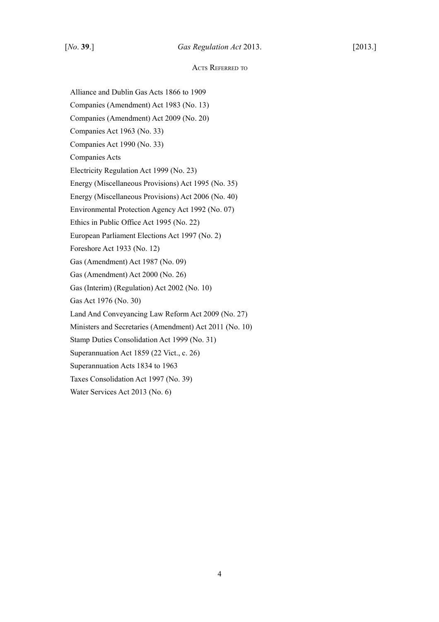#### ACTS REFERRED TO

Alliance and Dublin Gas Acts 1866 to 1909

Companies (Amendment) Act 1983 (No. 13)

Companies (Amendment) Act 2009 (No. 20)

Companies Act 1963 (No. 33)

Companies Act 1990 (No. 33)

Companies Acts

Electricity Regulation Act 1999 (No. 23)

Energy (Miscellaneous Provisions) Act 1995 (No. 35)

Energy (Miscellaneous Provisions) Act 2006 (No. 40)

Environmental Protection Agency Act 1992 (No. 07)

Ethics in Public Office Act 1995 (No. 22)

European Parliament Elections Act 1997 (No. 2)

Foreshore Act 1933 (No. 12)

Gas (Amendment) Act 1987 (No. 09)

Gas (Amendment) Act 2000 (No. 26)

Gas (Interim) (Regulation) Act 2002 (No. 10)

Gas Act 1976 (No. 30)

Land And Conveyancing Law Reform Act 2009 (No. 27)

Ministers and Secretaries (Amendment) Act 2011 (No. 10)

Stamp Duties Consolidation Act 1999 (No. 31)

Superannuation Act 1859 (22 Vict., c. 26)

Superannuation Acts 1834 to 1963

Taxes Consolidation Act 1997 (No. 39)

Water Services Act 2013 (No. 6)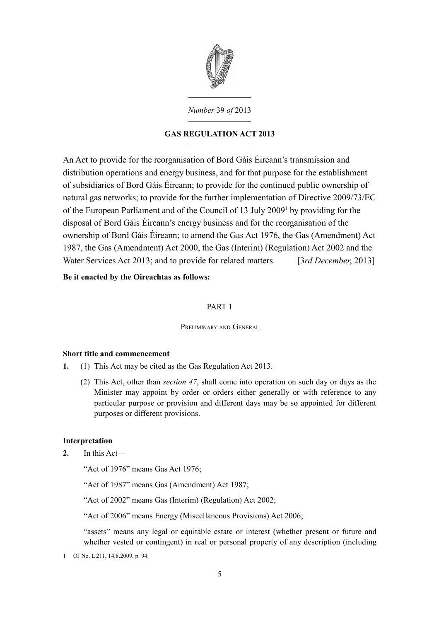

*Number* 39 *of* 2013

# **GAS REGULATION ACT 2013**

An Act to provide for the reorganisation of Bord Gáis Éireann's transmission and distribution operations and energy business, and for that purpose for the establishment of subsidiaries of Bord Gáis Éireann; to provide for the continued public ownership of natural gas networks; to provide for the further implementation of Directive 2009/73/EC of the European Parliament and of the Council of [1](#page-6-4)3 July 2009<sup>1</sup> by providing for the disposal of Bord Gáis Éireann's energy business and for the reorganisation of the ownership of Bord Gáis Éireann; to amend the [Gas Act 1976,](http://www.irishstatutebook.ie/1976/en/act/pub/0030/index.html) the [Gas \(Amendment\) Act](http://www.irishstatutebook.ie/1987/en/act/pub/0009/index.html) [1987,](http://www.irishstatutebook.ie/1987/en/act/pub/0009/index.html) the [Gas \(Amendment\) Act 2000,](http://www.irishstatutebook.ie/2000/en/act/pub/0026/index.html) the [Gas \(Interim\) \(Regulation\) Act 2002](http://www.irishstatutebook.ie/2002/en/act/pub/0010/index.html) and the [Water Services Act 2013;](http://www.irishstatutebook.ie/2013/en/act/pub/0006/index.html) and to provide for related matters. [3*rd December*, 2013]

**Be it enacted by the Oireachtas as follows:**

# <span id="page-6-0"></span>PART 1

<span id="page-6-3"></span>PRELIMINARY AND GENERAL

# <span id="page-6-2"></span>**Short title and commencement**

- **1.** (1) This Act may be cited as the Gas Regulation Act 2013.
	- (2) This Act, other than *section [47](#page-34-4)*, shall come into operation on such day or days as the Minister may appoint by order or orders either generally or with reference to any particular purpose or provision and different days may be so appointed for different purposes or different provisions.

# <span id="page-6-1"></span>**Interpretation**

- **2.** In this Act—
	- "Act of 1976" means [Gas Act 1976;](http://www.irishstatutebook.ie/1976/en/act/pub/0030/index.html)

"Act of 1987" means [Gas \(Amendment\) Act 1987;](http://www.irishstatutebook.ie/1987/en/act/pub/0009/index.html)

"Act of 2002" means [Gas \(Interim\) \(Regulation\) Act 2002;](http://www.irishstatutebook.ie/2002/en/act/pub/0010/index.html)

"Act of 2006" means [Energy \(Miscellaneous Provisions\) Act 2006;](http://www.irishstatutebook.ie/2006/en/act/pub/0040/index.html)

"assets" means any legal or equitable estate or interest (whether present or future and whether vested or contingent) in real or personal property of any description (including

<span id="page-6-4"></span>1 OJ No. L 211, 14.8.2009, p. 94.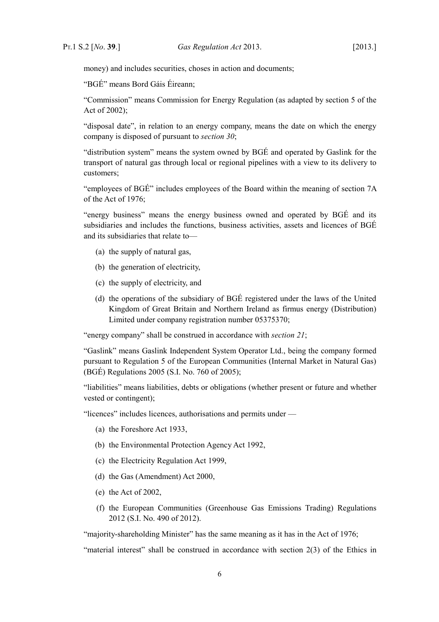money) and includes securities, choses in action and documents;

"BGÉ" means Bord Gáis Éireann;

"Commission" means Commission for Energy Regulation (as adapted by section 5 of the Act of 2002);

"disposal date", in relation to an energy company, means the date on which the energy company is disposed of pursuant to *section [30](#page-18-6)*;

"distribution system" means the system owned by BGÉ and operated by Gaslink for the transport of natural gas through local or regional pipelines with a view to its delivery to customers;

"employees of BGÉ" includes employees of the Board within the meaning of section 7A of the Act of 1976;

"energy business" means the energy business owned and operated by BGÉ and its subsidiaries and includes the functions, business activities, assets and licences of BGÉ and its subsidiaries that relate to—

- (a) the supply of natural gas,
- (b) the generation of electricity,
- (c) the supply of electricity, and
- (d) the operations of the subsidiary of BGÉ registered under the laws of the United Kingdom of Great Britain and Northern Ireland as firmus energy (Distribution) Limited under company registration number 05375370;

"energy company" shall be construed in accordance with *section [21](#page-15-5)*;

"Gaslink" means Gaslink Independent System Operator Ltd., being the company formed pursuant to Regulation 5 of the European Communities (Internal Market in Natural Gas) (BGÉ) Regulations 2005 (S.I. No. 760 of 2005);

"liabilities" means liabilities, debts or obligations (whether present or future and whether vested or contingent);

"licences" includes licences, authorisations and permits under —

- (a) the [Foreshore Act 1933,](http://www.irishstatutebook.ie/1933/en/act/pub/0012/index.html)
- (b) the [Environmental Protection Agency Act 1992,](http://www.irishstatutebook.ie/1992/en/act/pub/0007/index.html)
- (c) the [Electricity Regulation Act 1999,](http://www.irishstatutebook.ie/1999/en/act/pub/0023/index.html)
- (d) the [Gas \(Amendment\) Act 2000,](http://www.irishstatutebook.ie/2000/en/act/pub/0026/index.html)
- (e) the Act of 2002,
- (f) the European Communities (Greenhouse Gas Emissions Trading) Regulations 2012 (S.I. No. 490 of 2012).

"majority-shareholding Minister" has the same meaning as it has in the Act of 1976;

"material interest" shall be construed in accordance with section 2(3) of the [Ethics in](http://www.irishstatutebook.ie/1995/en/act/pub/0022/index.html)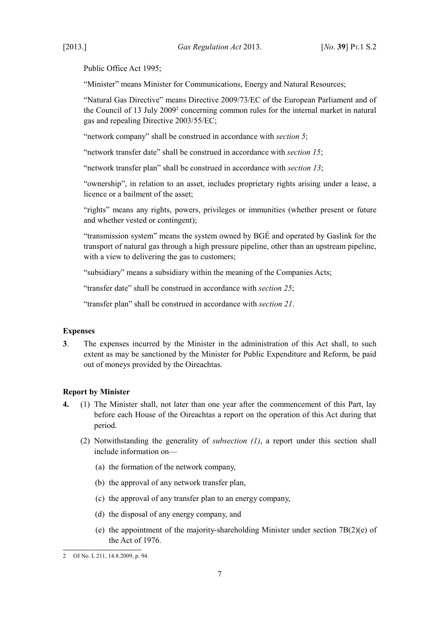[Public Office Act 1995;](http://www.irishstatutebook.ie/1995/en/act/pub/0022/index.html)

"Minister" means Minister for Communications, Energy and Natural Resources;

"Natural Gas Directive" means Directive 2009/73/EC of the European Parliament and of the Council of 13 July [2](#page-8-2)009<sup>2</sup> concerning common rules for the internal market in natural gas and repealing Directive 2003/55/EC;

"network company" shall be construed in accordance with *section [5](#page-9-5)*;

"network transfer date" shall be construed in accordance with *section [15](#page-13-5)*;

"network transfer plan" shall be construed in accordance with *section [13](#page-13-4)*;

"ownership", in relation to an asset, includes proprietary rights arising under a lease, a licence or a bailment of the asset;

"rights" means any rights, powers, privileges or immunities (whether present or future and whether vested or contingent);

"transmission system" means the system owned by BGÉ and operated by Gaslink for the transport of natural gas through a high pressure pipeline, other than an upstream pipeline, with a view to delivering the gas to customers:

"subsidiary" means a subsidiary within the meaning of the Companies Acts;

"transfer date" shall be construed in accordance with *section [25](#page-16-3)*;

"transfer plan" shall be construed in accordance with *section [21](#page-15-5)*.

#### <span id="page-8-1"></span>**Expenses**

**3**. The expenses incurred by the Minister in the administration of this Act shall, to such extent as may be sanctioned by the Minister for Public Expenditure and Reform, be paid out of moneys provided by the Oireachtas.

# <span id="page-8-0"></span>**Report by Minister**

- **4.** (1) The Minister shall, not later than one year after the commencement of this Part, lay before each House of the Oireachtas a report on the operation of this Act during that period.
	- (2) Notwithstanding the generality of *subsection (1)*, a report under this section shall include information on—
		- (a) the formation of the network company,
		- (b) the approval of any network transfer plan,
		- (c) the approval of any transfer plan to an energy company,
		- (d) the disposal of any energy company, and
		- (e) the appointment of the majority-shareholding Minister under section 7B(2)(e) of the Act of 1976.

<span id="page-8-2"></span><sup>2</sup> OJ No. L 211, 14.8.2009, p. 94.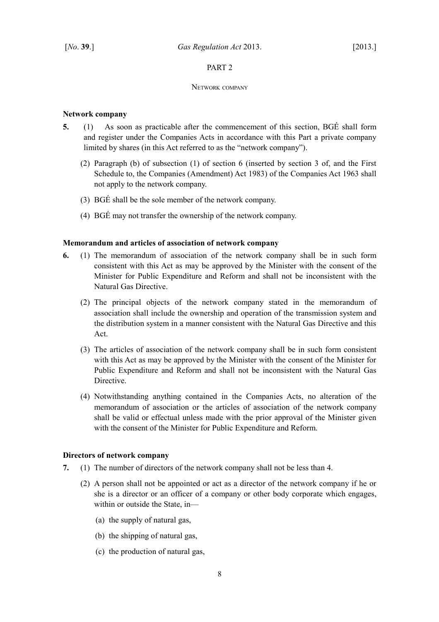# <span id="page-9-4"></span>PART 2

#### <span id="page-9-3"></span>NETWORK COMPANY

# <span id="page-9-2"></span>**Network company**

- <span id="page-9-5"></span>**5.** (1) As soon as practicable after the commencement of this section, BGÉ shall form and register under the Companies Acts in accordance with this Part a private company limited by shares (in this Act referred to as the "network company").
	- (2) Paragraph (b) of subsection (1) of section 6 (inserted by section 3 of, and the First Schedule to, the [Companies \(Amendment\) Act 1983\)](http://www.irishstatutebook.ie/1983/en/act/pub/0013/index.html) of the [Companies Act 1963](http://www.irishstatutebook.ie/1963/en/act/pub/0033/index.html) shall not apply to the network company.
	- (3) BGÉ shall be the sole member of the network company.
	- (4) BGÉ may not transfer the ownership of the network company.

# <span id="page-9-1"></span>**Memorandum and articles of association of network company**

- <span id="page-9-7"></span>**6.** (1) The memorandum of association of the network company shall be in such form consistent with this Act as may be approved by the Minister with the consent of the Minister for Public Expenditure and Reform and shall not be inconsistent with the Natural Gas Directive.
	- (2) The principal objects of the network company stated in the memorandum of association shall include the ownership and operation of the transmission system and the distribution system in a manner consistent with the Natural Gas Directive and this Act.
	- (3) The articles of association of the network company shall be in such form consistent with this Act as may be approved by the Minister with the consent of the Minister for Public Expenditure and Reform and shall not be inconsistent with the Natural Gas Directive.
	- (4) Notwithstanding anything contained in the Companies Acts, no alteration of the memorandum of association or the articles of association of the network company shall be valid or effectual unless made with the prior approval of the Minister given with the consent of the Minister for Public Expenditure and Reform.

# <span id="page-9-0"></span>**Directors of network company**

- <span id="page-9-6"></span>**7.** (1) The number of directors of the network company shall not be less than 4.
	- (2) A person shall not be appointed or act as a director of the network company if he or she is a director or an officer of a company or other body corporate which engages, within or outside the State, in—
		- (a) the supply of natural gas,
		- (b) the shipping of natural gas,
		- (c) the production of natural gas,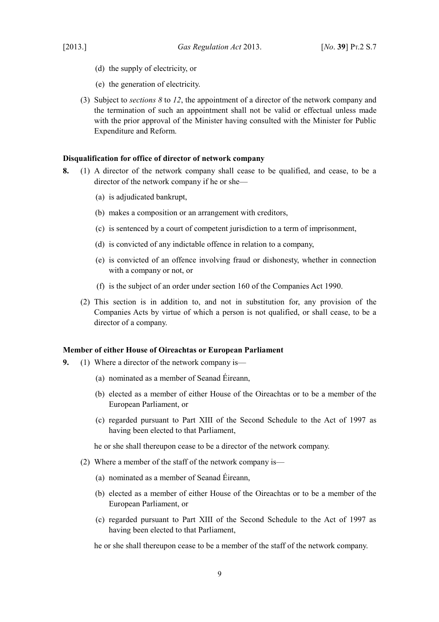- 
- (d) the supply of electricity, or
- (e) the generation of electricity.
- (3) Subject to *sections [8](#page-10-2)* to *[12](#page-12-2)*, the appointment of a director of the network company and the termination of such an appointment shall not be valid or effectual unless made with the prior approval of the Minister having consulted with the Minister for Public Expenditure and Reform.

# <span id="page-10-1"></span>**Disqualification for office of director of network company**

- <span id="page-10-2"></span>**8.** (1) A director of the network company shall cease to be qualified, and cease, to be a director of the network company if he or she—
	- (a) is adjudicated bankrupt,
	- (b) makes a composition or an arrangement with creditors,
	- (c) is sentenced by a court of competent jurisdiction to a term of imprisonment,
	- (d) is convicted of any indictable offence in relation to a company,
	- (e) is convicted of an offence involving fraud or dishonesty, whether in connection with a company or not, or
	- (f) is the subject of an order under section 160 of the [Companies Act 1990.](http://www.irishstatutebook.ie/1990/en/act/pub/0033/index.html)
	- (2) This section is in addition to, and not in substitution for, any provision of the Companies Acts by virtue of which a person is not qualified, or shall cease, to be a director of a company.

#### <span id="page-10-0"></span>**Member of either House of Oireachtas or European Parliament**

- **9.** (1) Where a director of the network company is—
	- (a) nominated as a member of Seanad Éireann,
	- (b) elected as a member of either House of the Oireachtas or to be a member of the European Parliament, or
	- (c) regarded pursuant to Part XIII of the Second Schedule to the Act of 1997 as having been elected to that Parliament,

he or she shall thereupon cease to be a director of the network company.

- (2) Where a member of the staff of the network company is—
	- (a) nominated as a member of Seanad Éireann,
	- (b) elected as a member of either House of the Oireachtas or to be a member of the European Parliament, or
	- (c) regarded pursuant to Part XIII of the Second Schedule to the Act of 1997 as having been elected to that Parliament,

he or she shall thereupon cease to be a member of the staff of the network company.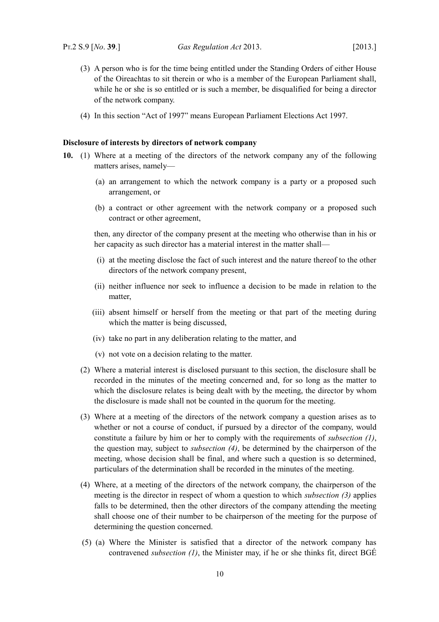- (3) A person who is for the time being entitled under the Standing Orders of either House of the Oireachtas to sit therein or who is a member of the European Parliament shall, while he or she is so entitled or is such a member, be disqualified for being a director of the network company.
- (4) In this section "Act of 1997" means [European Parliament Elections Act 1997.](http://www.irishstatutebook.ie/1997/en/act/pub/0002/index.html)

#### <span id="page-11-0"></span>**Disclosure of interests by directors of network company**

- <span id="page-11-6"></span><span id="page-11-1"></span>**10.** (1) Where at a meeting of the directors of the network company any of the following matters arises, namely—
	- (a) an arrangement to which the network company is a party or a proposed such arrangement, or
	- (b) a contract or other agreement with the network company or a proposed such contract or other agreement,

then, any director of the company present at the meeting who otherwise than in his or her capacity as such director has a material interest in the matter shall—

- (i) at the meeting disclose the fact of such interest and the nature thereof to the other directors of the network company present,
- (ii) neither influence nor seek to influence a decision to be made in relation to the matter,
- (iii) absent himself or herself from the meeting or that part of the meeting during which the matter is being discussed,
- (iv) take no part in any deliberation relating to the matter, and
- (v) not vote on a decision relating to the matter.
- (2) Where a material interest is disclosed pursuant to this section, the disclosure shall be recorded in the minutes of the meeting concerned and, for so long as the matter to which the disclosure relates is being dealt with by the meeting, the director by whom the disclosure is made shall not be counted in the quorum for the meeting.
- <span id="page-11-2"></span>(3) Where at a meeting of the directors of the network company a question arises as to whether or not a course of conduct, if pursued by a director of the company, would constitute a failure by him or her to comply with the requirements of *subsection [\(1\)](#page-11-1)*, the question may, subject to *subsection [\(4\)](#page-11-3)*, be determined by the chairperson of the meeting, whose decision shall be final, and where such a question is so determined, particulars of the determination shall be recorded in the minutes of the meeting.
- <span id="page-11-3"></span>(4) Where, at a meeting of the directors of the network company, the chairperson of the meeting is the director in respect of whom a question to which *subsection [\(3\)](#page-11-2)* applies falls to be determined, then the other directors of the company attending the meeting shall choose one of their number to be chairperson of the meeting for the purpose of determining the question concerned.
- <span id="page-11-5"></span><span id="page-11-4"></span>(5) (a) Where the Minister is satisfied that a director of the network company has contravened *subsection [\(1\)](#page-11-1)*, the Minister may, if he or she thinks fit, direct BGÉ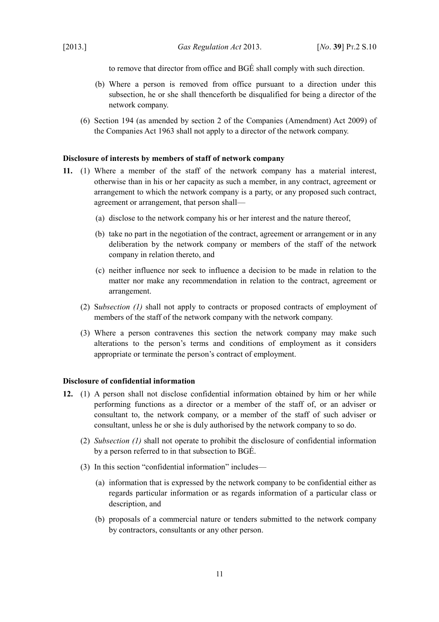to remove that director from office and BGÉ shall comply with such direction.

- (b) Where a person is removed from office pursuant to a direction under this subsection, he or she shall thenceforth be disqualified for being a director of the network company.
- (6) Section 194 (as amended by section 2 of the [Companies \(Amendment\) Act 2009\)](http://www.irishstatutebook.ie/2009/en/act/pub/0020/index.html) of the [Companies Act 1963](http://www.irishstatutebook.ie/1963/en/act/pub/0033/index.html) shall not apply to a director of the network company.

# <span id="page-12-1"></span>**Disclosure of interests by members of staff of network company**

- <span id="page-12-4"></span>**11.** (1) Where a member of the staff of the network company has a material interest, otherwise than in his or her capacity as such a member, in any contract, agreement or arrangement to which the network company is a party, or any proposed such contract, agreement or arrangement, that person shall—
	- (a) disclose to the network company his or her interest and the nature thereof,
	- (b) take no part in the negotiation of the contract, agreement or arrangement or in any deliberation by the network company or members of the staff of the network company in relation thereto, and
	- (c) neither influence nor seek to influence a decision to be made in relation to the matter nor make any recommendation in relation to the contract, agreement or arrangement.
	- (2) S*ubsection [\(1\)](#page-12-4)* shall not apply to contracts or proposed contracts of employment of members of the staff of the network company with the network company.
	- (3) Where a person contravenes this section the network company may make such alterations to the person's terms and conditions of employment as it considers appropriate or terminate the person's contract of employment.

#### <span id="page-12-0"></span>**Disclosure of confidential information**

- <span id="page-12-3"></span><span id="page-12-2"></span>**12.** (1) A person shall not disclose confidential information obtained by him or her while performing functions as a director or a member of the staff of, or an adviser or consultant to, the network company, or a member of the staff of such adviser or consultant, unless he or she is duly authorised by the network company to so do.
	- (2) *Subsection [\(1\)](#page-12-3)* shall not operate to prohibit the disclosure of confidential information by a person referred to in that subsection to BGÉ.
	- (3) In this section "confidential information" includes—
		- (a) information that is expressed by the network company to be confidential either as regards particular information or as regards information of a particular class or description, and
		- (b) proposals of a commercial nature or tenders submitted to the network company by contractors, consultants or any other person.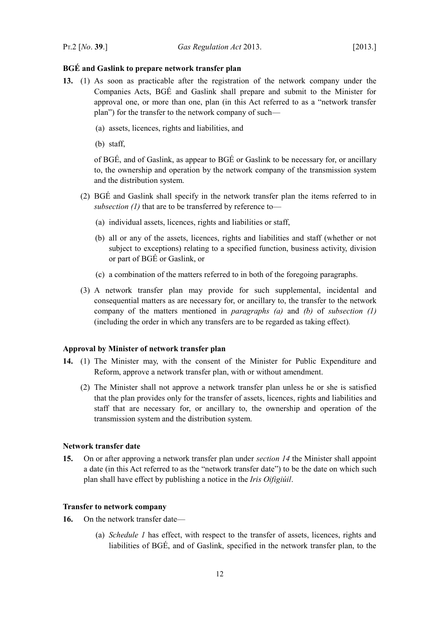#### <span id="page-13-3"></span>**BGÉ and Gaslink to prepare network transfer plan**

- <span id="page-13-7"></span><span id="page-13-4"></span>**13.** (1) As soon as practicable after the registration of the network company under the Companies Acts, BGÉ and Gaslink shall prepare and submit to the Minister for approval one, or more than one, plan (in this Act referred to as a "network transfer plan") for the transfer to the network company of such—
	- (a) assets, licences, rights and liabilities, and
	- (b) staff,

<span id="page-13-9"></span><span id="page-13-8"></span>of BGÉ, and of Gaslink, as appear to BGÉ or Gaslink to be necessary for, or ancillary to, the ownership and operation by the network company of the transmission system and the distribution system.

- (2) BGÉ and Gaslink shall specify in the network transfer plan the items referred to in *subsection [\(1\)](#page-13-7)* that are to be transferred by reference to—
	- (a) individual assets, licences, rights and liabilities or staff,
	- (b) all or any of the assets, licences, rights and liabilities and staff (whether or not subject to exceptions) relating to a specified function, business activity, division or part of BGÉ or Gaslink, or
	- (c) a combination of the matters referred to in both of the foregoing paragraphs.
- (3) A network transfer plan may provide for such supplemental, incidental and consequential matters as are necessary for, or ancillary to, the transfer to the network company of the matters mentioned in *paragraphs [\(a\)](#page-13-9)* and *[\(b\)](#page-13-8)* of *subsection [\(1\)](#page-13-7)* (including the order in which any transfers are to be regarded as taking effect)*.*

#### <span id="page-13-2"></span>**Approval by Minister of network transfer plan**

- <span id="page-13-6"></span>**14.** (1) The Minister may, with the consent of the Minister for Public Expenditure and Reform, approve a network transfer plan, with or without amendment.
	- (2) The Minister shall not approve a network transfer plan unless he or she is satisfied that the plan provides only for the transfer of assets, licences, rights and liabilities and staff that are necessary for, or ancillary to, the ownership and operation of the transmission system and the distribution system.

#### <span id="page-13-1"></span>**Network transfer date**

<span id="page-13-5"></span>**15.** On or after approving a network transfer plan under *section [14](#page-13-6)* the Minister shall appoint a date (in this Act referred to as the "network transfer date") to be the date on which such plan shall have effect by publishing a notice in the *Iris Oifigiúil*.

#### <span id="page-13-0"></span>**Transfer to network company**

- <span id="page-13-11"></span><span id="page-13-10"></span>**16.** On the network transfer date—
	- (a) *Schedule [1](#page-36-2)* has effect, with respect to the transfer of assets, licences, rights and liabilities of BGÉ, and of Gaslink, specified in the network transfer plan, to the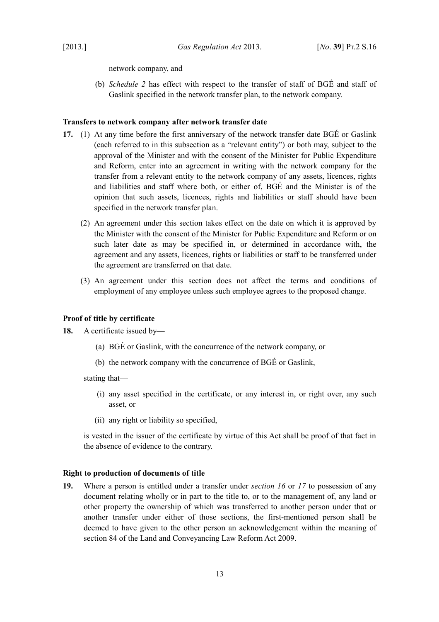network company, and

<span id="page-14-4"></span>(b) *Schedule [2](#page-38-2)* has effect with respect to the transfer of staff of BGÉ and staff of Gaslink specified in the network transfer plan, to the network company.

#### <span id="page-14-2"></span>**Transfers to network company after network transfer date**

- <span id="page-14-3"></span>**17.** (1) At any time before the first anniversary of the network transfer date BGÉ or Gaslink (each referred to in this subsection as a "relevant entity") or both may, subject to the approval of the Minister and with the consent of the Minister for Public Expenditure and Reform, enter into an agreement in writing with the network company for the transfer from a relevant entity to the network company of any assets, licences, rights and liabilities and staff where both, or either of, BGÉ and the Minister is of the opinion that such assets, licences, rights and liabilities or staff should have been specified in the network transfer plan.
	- (2) An agreement under this section takes effect on the date on which it is approved by the Minister with the consent of the Minister for Public Expenditure and Reform or on such later date as may be specified in, or determined in accordance with, the agreement and any assets, licences, rights or liabilities or staff to be transferred under the agreement are transferred on that date.
	- (3) An agreement under this section does not affect the terms and conditions of employment of any employee unless such employee agrees to the proposed change.

# <span id="page-14-1"></span>**Proof of title by certificate**

**18.** A certificate issued by—

- (a) BGÉ or Gaslink, with the concurrence of the network company, or
- (b) the network company with the concurrence of BGÉ or Gaslink,

stating that—

- (i) any asset specified in the certificate, or any interest in, or right over, any such asset, or
- (ii) any right or liability so specified,

is vested in the issuer of the certificate by virtue of this Act shall be proof of that fact in the absence of evidence to the contrary.

# <span id="page-14-0"></span>**Right to production of documents of title**

**19.** Where a person is entitled under a transfer under *section [16](#page-13-10)* or *[17](#page-14-3)* to possession of any document relating wholly or in part to the title to, or to the management of, any land or other property the ownership of which was transferred to another person under that or another transfer under either of those sections, the first-mentioned person shall be deemed to have given to the other person an acknowledgement within the meaning of section 84 of the [Land and Conveyancing Law Reform Act 2009.](http://www.irishstatutebook.ie/2009/en/act/pub/0027/index.html)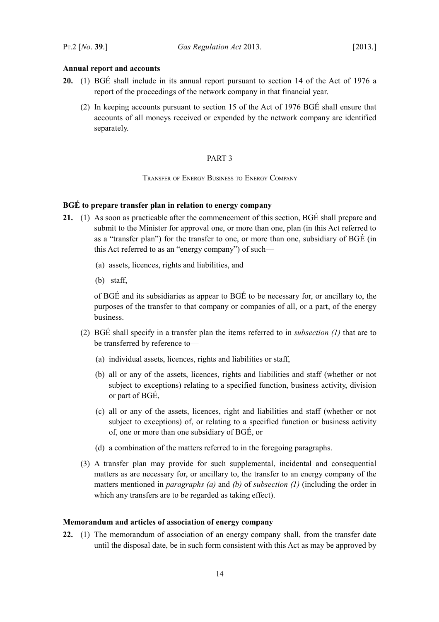# <span id="page-15-2"></span>**Annual report and accounts**

- **20.** (1) BGÉ shall include in its annual report pursuant to section 14 of the Act of 1976 a report of the proceedings of the network company in that financial year.
	- (2) In keeping accounts pursuant to section 15 of the Act of 1976 BGÉ shall ensure that accounts of all moneys received or expended by the network company are identified separately.

# <span id="page-15-1"></span>PART 3

<span id="page-15-0"></span>TRANSFER OF ENERGY BUSINESS TO ENERGY COMPANY

# <span id="page-15-4"></span>**BGÉ to prepare transfer plan in relation to energy company**

- <span id="page-15-6"></span><span id="page-15-5"></span>**21.** (1) As soon as practicable after the commencement of this section, BGÉ shall prepare and submit to the Minister for approval one, or more than one, plan (in this Act referred to as a "transfer plan") for the transfer to one, or more than one, subsidiary of BGÉ (in this Act referred to as an "energy company") of such—
	- (a) assets, licences, rights and liabilities, and
	- (b) staff,

<span id="page-15-8"></span><span id="page-15-7"></span>of BGÉ and its subsidiaries as appear to BGÉ to be necessary for, or ancillary to, the purposes of the transfer to that company or companies of all, or a part, of the energy business.

- (2) BGÉ shall specify in a transfer plan the items referred to in *subsection [\(1\)](#page-15-6)* that are to be transferred by reference to—
	- (a) individual assets, licences, rights and liabilities or staff,
	- (b) all or any of the assets, licences, rights and liabilities and staff (whether or not subject to exceptions) relating to a specified function, business activity, division or part of BGÉ,
	- (c) all or any of the assets, licences, right and liabilities and staff (whether or not subject to exceptions) of, or relating to a specified function or business activity of, one or more than one subsidiary of BGÉ, or
	- (d) a combination of the matters referred to in the foregoing paragraphs.
- (3) A transfer plan may provide for such supplemental, incidental and consequential matters as are necessary for, or ancillary to, the transfer to an energy company of the matters mentioned in *paragraphs [\(a\)](#page-15-8)* and *[\(b\)](#page-15-7)* of *subsection [\(1\)](#page-15-6)* (including the order in which any transfers are to be regarded as taking effect).

#### <span id="page-15-3"></span>**Memorandum and articles of association of energy company**

**22.** (1) The memorandum of association of an energy company shall, from the transfer date until the disposal date, be in such form consistent with this Act as may be approved by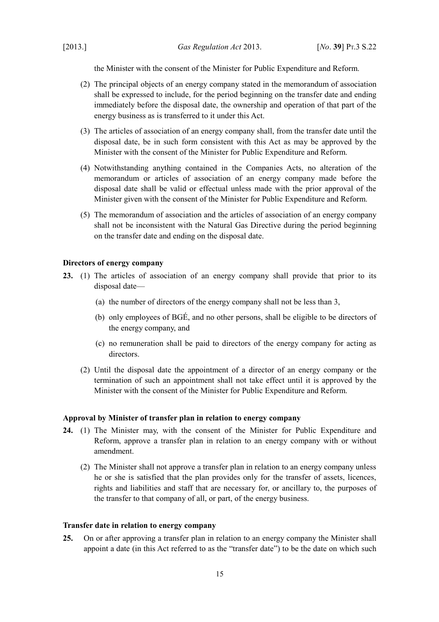the Minister with the consent of the Minister for Public Expenditure and Reform.

- (2) The principal objects of an energy company stated in the memorandum of association shall be expressed to include, for the period beginning on the transfer date and ending immediately before the disposal date, the ownership and operation of that part of the energy business as is transferred to it under this Act.
- (3) The articles of association of an energy company shall, from the transfer date until the disposal date, be in such form consistent with this Act as may be approved by the Minister with the consent of the Minister for Public Expenditure and Reform.
- (4) Notwithstanding anything contained in the Companies Acts, no alteration of the memorandum or articles of association of an energy company made before the disposal date shall be valid or effectual unless made with the prior approval of the Minister given with the consent of the Minister for Public Expenditure and Reform.
- (5) The memorandum of association and the articles of association of an energy company shall not be inconsistent with the Natural Gas Directive during the period beginning on the transfer date and ending on the disposal date.

# <span id="page-16-2"></span>**Directors of energy company**

- **23.** (1) The articles of association of an energy company shall provide that prior to its disposal date—
	- (a) the number of directors of the energy company shall not be less than 3,
	- (b) only employees of BGÉ, and no other persons, shall be eligible to be directors of the energy company, and
	- (c) no remuneration shall be paid to directors of the energy company for acting as directors.
	- (2) Until the disposal date the appointment of a director of an energy company or the termination of such an appointment shall not take effect until it is approved by the Minister with the consent of the Minister for Public Expenditure and Reform.

#### <span id="page-16-1"></span>**Approval by Minister of transfer plan in relation to energy company**

- <span id="page-16-4"></span>**24.** (1) The Minister may, with the consent of the Minister for Public Expenditure and Reform, approve a transfer plan in relation to an energy company with or without amendment.
	- (2) The Minister shall not approve a transfer plan in relation to an energy company unless he or she is satisfied that the plan provides only for the transfer of assets, licences, rights and liabilities and staff that are necessary for, or ancillary to, the purposes of the transfer to that company of all, or part, of the energy business.

#### <span id="page-16-0"></span>**Transfer date in relation to energy company**

<span id="page-16-3"></span>**25.** On or after approving a transfer plan in relation to an energy company the Minister shall appoint a date (in this Act referred to as the "transfer date") to be the date on which such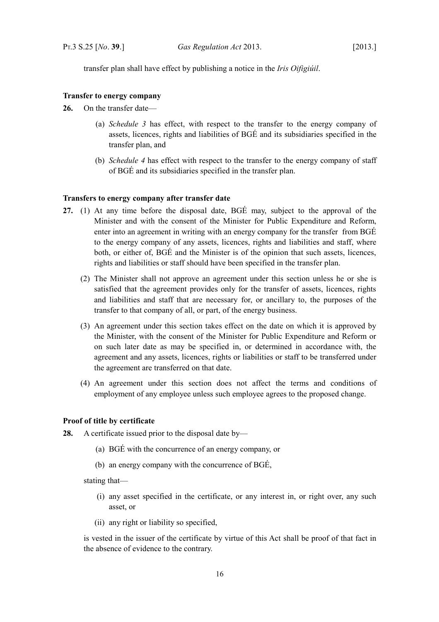transfer plan shall have effect by publishing a notice in the *Iris Oifigiúil*.

### <span id="page-17-2"></span>**Transfer to energy company**

- <span id="page-17-4"></span><span id="page-17-3"></span>**26.** On the transfer date—
	- (a) *Schedule [3](#page-40-2)* has effect, with respect to the transfer to the energy company of assets, licences, rights and liabilities of BGÉ and its subsidiaries specified in the transfer plan, and
	- (b) *Schedule [4](#page-41-2)* has effect with respect to the transfer to the energy company of staff of BGÉ and its subsidiaries specified in the transfer plan.

#### <span id="page-17-6"></span><span id="page-17-1"></span>**Transfers to energy company after transfer date**

- <span id="page-17-5"></span>**27.** (1) At any time before the disposal date, BGÉ may, subject to the approval of the Minister and with the consent of the Minister for Public Expenditure and Reform, enter into an agreement in writing with an energy company for the transfer from BGÉ to the energy company of any assets, licences, rights and liabilities and staff, where both, or either of, BGÉ and the Minister is of the opinion that such assets, licences, rights and liabilities or staff should have been specified in the transfer plan.
	- (2) The Minister shall not approve an agreement under this section unless he or she is satisfied that the agreement provides only for the transfer of assets, licences, rights and liabilities and staff that are necessary for, or ancillary to, the purposes of the transfer to that company of all, or part, of the energy business.
	- (3) An agreement under this section takes effect on the date on which it is approved by the Minister, with the consent of the Minister for Public Expenditure and Reform or on such later date as may be specified in, or determined in accordance with, the agreement and any assets, licences, rights or liabilities or staff to be transferred under the agreement are transferred on that date.
	- (4) An agreement under this section does not affect the terms and conditions of employment of any employee unless such employee agrees to the proposed change.

#### <span id="page-17-0"></span>**Proof of title by certificate**

**28.** A certificate issued prior to the disposal date by—

- (a) BGÉ with the concurrence of an energy company, or
- (b) an energy company with the concurrence of BGÉ,

stating that—

- (i) any asset specified in the certificate, or any interest in, or right over, any such asset, or
- (ii) any right or liability so specified,

is vested in the issuer of the certificate by virtue of this Act shall be proof of that fact in the absence of evidence to the contrary.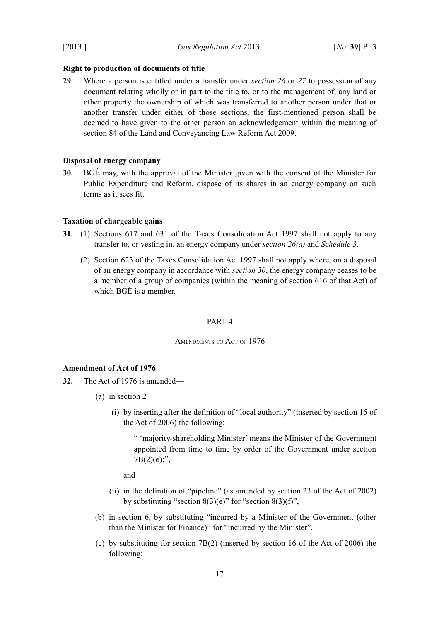[2013.] *Gas Regulation Act* 2013. [*No*. **39**] PT.3

## <span id="page-18-5"></span>**Right to production of documents of title**

**29**. Where a person is entitled under a transfer under *section [26](#page-17-4)* or *[27](#page-17-5)* to possession of any document relating wholly or in part to the title to, or to the management of, any land or other property the ownership of which was transferred to another person under that or another transfer under either of those sections, the first-mentioned person shall be deemed to have given to the other person an acknowledgement within the meaning of section 84 of the [Land and Conveyancing Law Reform Act 2009.](http://www.irishstatutebook.ie/2009/en/act/pub/0027/index.html)

# <span id="page-18-4"></span>**Disposal of energy company**

<span id="page-18-6"></span>**30.** BGÉ may, with the approval of the Minister given with the consent of the Minister for Public Expenditure and Reform, dispose of its shares in an energy company on such terms as it sees fit.

#### <span id="page-18-3"></span>**Taxation of chargeable gains**

- **31.** (1) Sections 617 and 631 of the [Taxes Consolidation Act 1997](http://www.irishstatutebook.ie/1997/en/act/pub/0039/index.html) shall not apply to any transfer to, or vesting in, an energy company under *section [26](#page-17-4)[\(a\)](#page-17-3)* and *Schedule [3](#page-40-2)*.
	- (2) Section 623 of the [Taxes Consolidation Act 1997](http://www.irishstatutebook.ie/1997/en/act/pub/0039/index.html) shall not apply where, on a disposal of an energy company in accordance with *section [30](#page-18-6)*, the energy company ceases to be a member of a group of companies (within the meaning of section 616 of that Act) of which BGÉ is a member.

#### <span id="page-18-2"></span>PART 4

<span id="page-18-1"></span>AMENDMENTS TO ACT OF 1976

#### <span id="page-18-0"></span>**Amendment of Act of 1976**

- **32.** The Act of 1976 is amended—
	- (a) in section 2—
		- (i) by inserting after the definition of "local authority" (inserted by section 15 of the Act of 2006) the following:

" 'majority-shareholding Minister' means the Minister of the Government appointed from time to time by order of the Government under section  $7B(2)(e)$ ;",

and

- (ii) in the definition of "pipeline" (as amended by section 23 of the Act of 2002) by substituting "section  $8(3)(e)$ " for "section  $8(3)(f)$ ",
- (b) in section 6, by substituting "incurred by a Minister of the Government (other than the Minister for Finance)" for "incurred by the Minister",
- (c) by substituting for section 7B(2) (inserted by section 16 of the Act of 2006) the following: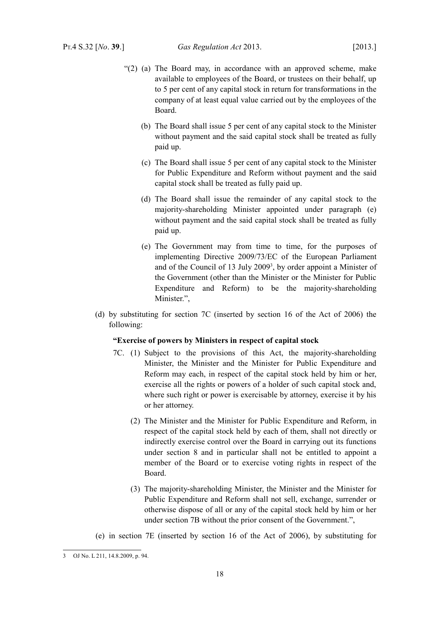- "(2) (a) The Board may, in accordance with an approved scheme, make available to employees of the Board, or trustees on their behalf, up to 5 per cent of any capital stock in return for transformations in the company of at least equal value carried out by the employees of the Board.
	- (b) The Board shall issue 5 per cent of any capital stock to the Minister without payment and the said capital stock shall be treated as fully paid up.
	- (c) The Board shall issue 5 per cent of any capital stock to the Minister for Public Expenditure and Reform without payment and the said capital stock shall be treated as fully paid up.
	- (d) The Board shall issue the remainder of any capital stock to the majority-shareholding Minister appointed under paragraph (e) without payment and the said capital stock shall be treated as fully paid up.
	- (e) The Government may from time to time, for the purposes of implementing Directive 2009/73/EC of the European Parliament and of the Council of 1[3](#page-19-0) July 2009<sup>3</sup>, by order appoint a Minister of the Government (other than the Minister or the Minister for Public Expenditure and Reform) to be the majority-shareholding Minister.",
- (d) by substituting for section 7C (inserted by section 16 of the Act of 2006) the following:

#### **"Exercise of powers by Ministers in respect of capital stock**

- 7C. (1) Subject to the provisions of this Act, the majority-shareholding Minister, the Minister and the Minister for Public Expenditure and Reform may each, in respect of the capital stock held by him or her, exercise all the rights or powers of a holder of such capital stock and, where such right or power is exercisable by attorney, exercise it by his or her attorney.
	- (2) The Minister and the Minister for Public Expenditure and Reform, in respect of the capital stock held by each of them, shall not directly or indirectly exercise control over the Board in carrying out its functions under section 8 and in particular shall not be entitled to appoint a member of the Board or to exercise voting rights in respect of the Board.
	- (3) The majority-shareholding Minister, the Minister and the Minister for Public Expenditure and Reform shall not sell, exchange, surrender or otherwise dispose of all or any of the capital stock held by him or her under section 7B without the prior consent of the Government.",
- (e) in section 7E (inserted by section 16 of the Act of 2006), by substituting for

<span id="page-19-0"></span><sup>3</sup> OJ No. L 211, 14.8.2009, p. 94.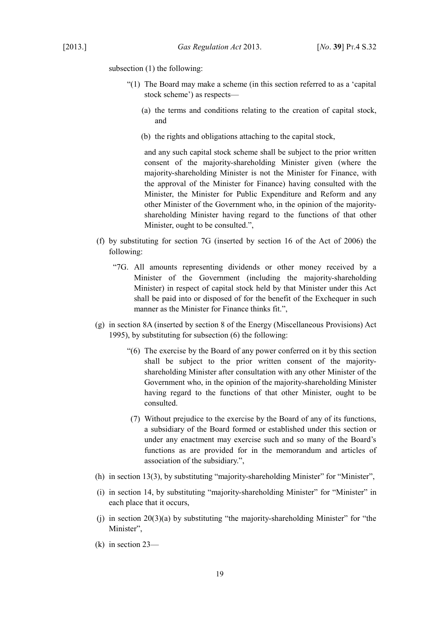subsection (1) the following:

- "(1) The Board may make a scheme (in this section referred to as a 'capital stock scheme') as respects—
	- (a) the terms and conditions relating to the creation of capital stock, and
	- (b) the rights and obligations attaching to the capital stock,

and any such capital stock scheme shall be subject to the prior written consent of the majority-shareholding Minister given (where the majority-shareholding Minister is not the Minister for Finance, with the approval of the Minister for Finance) having consulted with the Minister, the Minister for Public Expenditure and Reform and any other Minister of the Government who, in the opinion of the majorityshareholding Minister having regard to the functions of that other Minister, ought to be consulted.",

- (f) by substituting for section 7G (inserted by section 16 of the Act of 2006) the following:
	- "7G. All amounts representing dividends or other money received by a Minister of the Government (including the majority-shareholding Minister) in respect of capital stock held by that Minister under this Act shall be paid into or disposed of for the benefit of the Exchequer in such manner as the Minister for Finance thinks fit.",
- (g) in section 8A (inserted by section 8 of the [Energy \(Miscellaneous Provisions\) Act](http://www.irishstatutebook.ie/1995/en/act/pub/0035/index.html) [1995\)](http://www.irishstatutebook.ie/1995/en/act/pub/0035/index.html), by substituting for subsection (6) the following:
	- "(6) The exercise by the Board of any power conferred on it by this section shall be subject to the prior written consent of the majorityshareholding Minister after consultation with any other Minister of the Government who, in the opinion of the majority-shareholding Minister having regard to the functions of that other Minister, ought to be consulted.
	- (7) Without prejudice to the exercise by the Board of any of its functions, a subsidiary of the Board formed or established under this section or under any enactment may exercise such and so many of the Board's functions as are provided for in the memorandum and articles of association of the subsidiary.",
- (h) in section  $13(3)$ , by substituting "majority-shareholding Minister" for "Minister",
- (i) in section 14, by substituting "majority-shareholding Minister" for "Minister" in each place that it occurs,
- (i) in section  $20(3)(a)$  by substituting "the majority-shareholding Minister" for "the Minister".
- (k) in section 23—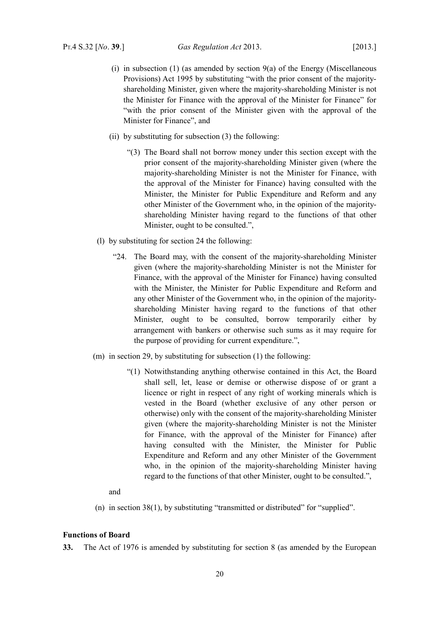- (i) in subsection (1) (as amended by section  $9(a)$  of the [Energy \(Miscellaneous](http://www.irishstatutebook.ie/1995/en/act/pub/0035/index.html) [Provisions\) Act 1995](http://www.irishstatutebook.ie/1995/en/act/pub/0035/index.html) by substituting "with the prior consent of the majorityshareholding Minister, given where the majority-shareholding Minister is not the Minister for Finance with the approval of the Minister for Finance" for "with the prior consent of the Minister given with the approval of the Minister for Finance", and
- (ii) by substituting for subsection (3) the following:
	- "(3) The Board shall not borrow money under this section except with the prior consent of the majority-shareholding Minister given (where the majority-shareholding Minister is not the Minister for Finance, with the approval of the Minister for Finance) having consulted with the Minister, the Minister for Public Expenditure and Reform and any other Minister of the Government who, in the opinion of the majorityshareholding Minister having regard to the functions of that other Minister, ought to be consulted.",
- (l) by substituting for section 24 the following:
	- "24. The Board may, with the consent of the majority-shareholding Minister given (where the majority-shareholding Minister is not the Minister for Finance, with the approval of the Minister for Finance) having consulted with the Minister, the Minister for Public Expenditure and Reform and any other Minister of the Government who, in the opinion of the majorityshareholding Minister having regard to the functions of that other Minister, ought to be consulted, borrow temporarily either by arrangement with bankers or otherwise such sums as it may require for the purpose of providing for current expenditure.",
- (m) in section 29, by substituting for subsection (1) the following:
	- "(1) Notwithstanding anything otherwise contained in this Act, the Board shall sell, let, lease or demise or otherwise dispose of or grant a licence or right in respect of any right of working minerals which is vested in the Board (whether exclusive of any other person or otherwise) only with the consent of the majority-shareholding Minister given (where the majority-shareholding Minister is not the Minister for Finance, with the approval of the Minister for Finance) after having consulted with the Minister, the Minister for Public Expenditure and Reform and any other Minister of the Government who, in the opinion of the majority-shareholding Minister having regard to the functions of that other Minister, ought to be consulted.",
	- and
- (n) in section 38(1), by substituting "transmitted or distributed" for "supplied".

#### <span id="page-21-0"></span>**Functions of Board**

**33.** The Act of 1976 is amended by substituting for section 8 (as amended by the European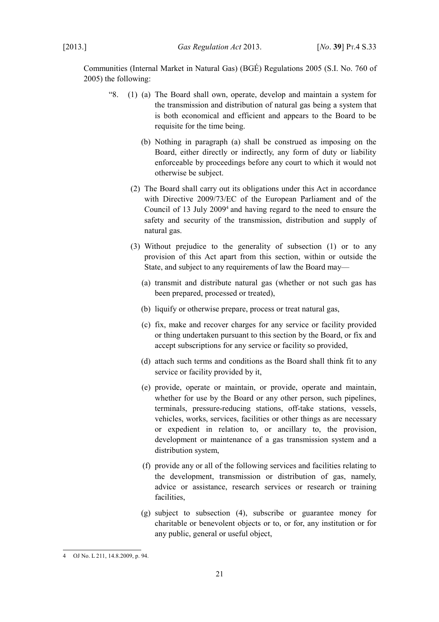Communities (Internal Market in Natural Gas) (BGÉ) Regulations 2005 (S.I. No. 760 of 2005) the following:

- "8. (1) (a) The Board shall own, operate, develop and maintain a system for the transmission and distribution of natural gas being a system that is both economical and efficient and appears to the Board to be requisite for the time being.
	- (b) Nothing in paragraph (a) shall be construed as imposing on the Board, either directly or indirectly, any form of duty or liability enforceable by proceedings before any court to which it would not otherwise be subject.
	- (2) The Board shall carry out its obligations under this Act in accordance with Directive 2009/73/EC of the European Parliament and of the Council of 13 July 2009<sup>[4](#page-22-0)</sup> and having regard to the need to ensure the safety and security of the transmission, distribution and supply of natural gas.
	- (3) Without prejudice to the generality of subsection (1) or to any provision of this Act apart from this section, within or outside the State, and subject to any requirements of law the Board may—
		- (a) transmit and distribute natural gas (whether or not such gas has been prepared, processed or treated),
		- (b) liquify or otherwise prepare, process or treat natural gas,
		- (c) fix, make and recover charges for any service or facility provided or thing undertaken pursuant to this section by the Board, or fix and accept subscriptions for any service or facility so provided,
		- (d) attach such terms and conditions as the Board shall think fit to any service or facility provided by it,
		- (e) provide, operate or maintain, or provide, operate and maintain, whether for use by the Board or any other person, such pipelines, terminals, pressure-reducing stations, off-take stations, vessels, vehicles, works, services, facilities or other things as are necessary or expedient in relation to, or ancillary to, the provision, development or maintenance of a gas transmission system and a distribution system,
		- (f) provide any or all of the following services and facilities relating to the development, transmission or distribution of gas, namely, advice or assistance, research services or research or training facilities,
		- (g) subject to subsection (4), subscribe or guarantee money for charitable or benevolent objects or to, or for, any institution or for any public, general or useful object,

21

<span id="page-22-0"></span><sup>4</sup> OJ No. L 211, 14.8.2009, p. 94.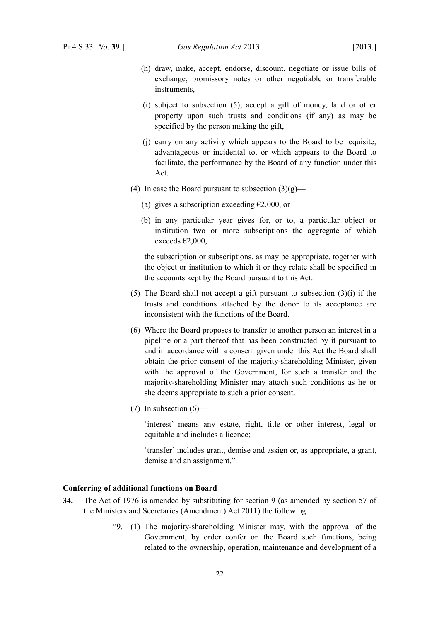- (h) draw, make, accept, endorse, discount, negotiate or issue bills of exchange, promissory notes or other negotiable or transferable instruments,
- (i) subject to subsection (5), accept a gift of money, land or other property upon such trusts and conditions (if any) as may be specified by the person making the gift,
- (j) carry on any activity which appears to the Board to be requisite, advantageous or incidental to, or which appears to the Board to facilitate, the performance by the Board of any function under this Act.
- (4) In case the Board pursuant to subsection  $(3)(g)$ 
	- (a) gives a subscription exceeding  $\epsilon$ 2,000, or
	- (b) in any particular year gives for, or to, a particular object or institution two or more subscriptions the aggregate of which exceeds €2,000,

the subscription or subscriptions, as may be appropriate, together with the object or institution to which it or they relate shall be specified in the accounts kept by the Board pursuant to this Act.

- (5) The Board shall not accept a gift pursuant to subsection (3)(i) if the trusts and conditions attached by the donor to its acceptance are inconsistent with the functions of the Board.
- (6) Where the Board proposes to transfer to another person an interest in a pipeline or a part thereof that has been constructed by it pursuant to and in accordance with a consent given under this Act the Board shall obtain the prior consent of the majority-shareholding Minister, given with the approval of the Government, for such a transfer and the majority-shareholding Minister may attach such conditions as he or she deems appropriate to such a prior consent.
- $(7)$  In subsection  $(6)$ —

'interest' means any estate, right, title or other interest, legal or equitable and includes a licence;

'transfer' includes grant, demise and assign or, as appropriate, a grant, demise and an assignment.".

#### <span id="page-23-0"></span>**Conferring of additional functions on Board**

- **34.** The Act of 1976 is amended by substituting for section 9 (as amended by section 57 of the [Ministers and Secretaries \(Amendment\) Act 2011\)](http://www.irishstatutebook.ie/2011/en/act/pub/0010/index.html) the following:
	- "9. (1) The majority-shareholding Minister may, with the approval of the Government, by order confer on the Board such functions, being related to the ownership, operation, maintenance and development of a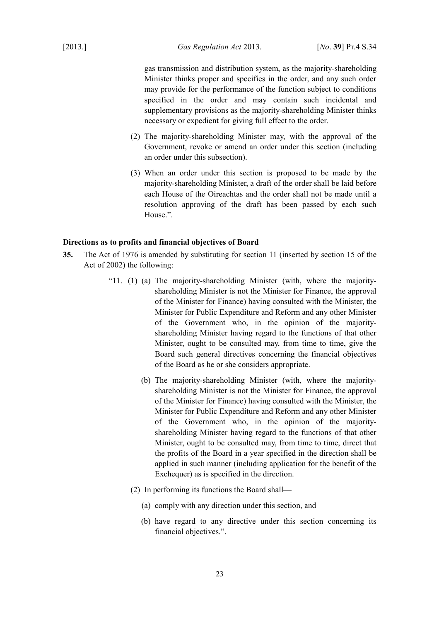[2013.] *Gas Regulation Act* 2013. [*No*. **39**] PT.4 S.34

gas transmission and distribution system, as the majority-shareholding Minister thinks proper and specifies in the order, and any such order may provide for the performance of the function subject to conditions specified in the order and may contain such incidental and supplementary provisions as the majority-shareholding Minister thinks necessary or expedient for giving full effect to the order.

- (2) The majority-shareholding Minister may, with the approval of the Government, revoke or amend an order under this section (including an order under this subsection).
- (3) When an order under this section is proposed to be made by the majority-shareholding Minister, a draft of the order shall be laid before each House of the Oireachtas and the order shall not be made until a resolution approving of the draft has been passed by each such House.".

# <span id="page-24-0"></span>**Directions as to profits and financial objectives of Board**

- **35.** The Act of 1976 is amended by substituting for section 11 (inserted by section 15 of the Act of 2002) the following:
	- "11. (1) (a) The majority-shareholding Minister (with, where the majorityshareholding Minister is not the Minister for Finance, the approval of the Minister for Finance) having consulted with the Minister, the Minister for Public Expenditure and Reform and any other Minister of the Government who, in the opinion of the majorityshareholding Minister having regard to the functions of that other Minister, ought to be consulted may, from time to time, give the Board such general directives concerning the financial objectives of the Board as he or she considers appropriate.
		- (b) The majority-shareholding Minister (with, where the majorityshareholding Minister is not the Minister for Finance, the approval of the Minister for Finance) having consulted with the Minister, the Minister for Public Expenditure and Reform and any other Minister of the Government who, in the opinion of the majorityshareholding Minister having regard to the functions of that other Minister, ought to be consulted may, from time to time, direct that the profits of the Board in a year specified in the direction shall be applied in such manner (including application for the benefit of the Exchequer) as is specified in the direction.
		- (2) In performing its functions the Board shall—
			- (a) comply with any direction under this section, and
			- (b) have regard to any directive under this section concerning its financial objectives.".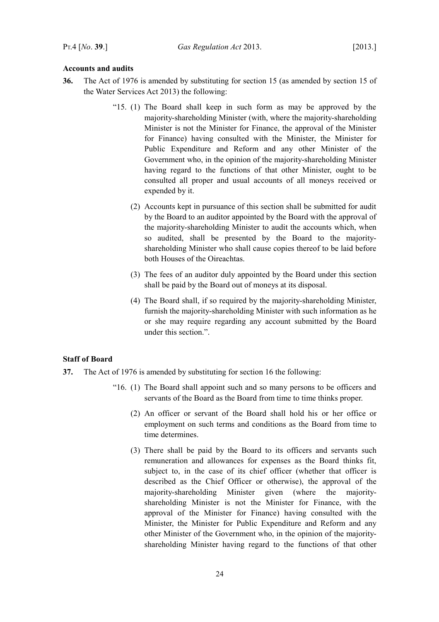# <span id="page-25-1"></span>**Accounts and audits**

- **36.** The Act of 1976 is amended by substituting for section 15 (as amended by section 15 of the [Water Services Act 2013\)](http://www.irishstatutebook.ie/2013/en/act/pub/0006/index.html) the following:
	- "15. (1) The Board shall keep in such form as may be approved by the majority-shareholding Minister (with, where the majority-shareholding Minister is not the Minister for Finance, the approval of the Minister for Finance) having consulted with the Minister, the Minister for Public Expenditure and Reform and any other Minister of the Government who, in the opinion of the majority-shareholding Minister having regard to the functions of that other Minister, ought to be consulted all proper and usual accounts of all moneys received or expended by it.
		- (2) Accounts kept in pursuance of this section shall be submitted for audit by the Board to an auditor appointed by the Board with the approval of the majority-shareholding Minister to audit the accounts which, when so audited, shall be presented by the Board to the majorityshareholding Minister who shall cause copies thereof to be laid before both Houses of the Oireachtas.
		- (3) The fees of an auditor duly appointed by the Board under this section shall be paid by the Board out of moneys at its disposal.
		- (4) The Board shall, if so required by the majority-shareholding Minister, furnish the majority-shareholding Minister with such information as he or she may require regarding any account submitted by the Board under this section.".

# <span id="page-25-0"></span>**Staff of Board**

- **37.** The Act of 1976 is amended by substituting for section 16 the following:
	- "16. (1) The Board shall appoint such and so many persons to be officers and servants of the Board as the Board from time to time thinks proper.
		- (2) An officer or servant of the Board shall hold his or her office or employment on such terms and conditions as the Board from time to time determines.
		- (3) There shall be paid by the Board to its officers and servants such remuneration and allowances for expenses as the Board thinks fit, subject to, in the case of its chief officer (whether that officer is described as the Chief Officer or otherwise), the approval of the majority-shareholding Minister given (where the majorityshareholding Minister is not the Minister for Finance, with the approval of the Minister for Finance) having consulted with the Minister, the Minister for Public Expenditure and Reform and any other Minister of the Government who, in the opinion of the majorityshareholding Minister having regard to the functions of that other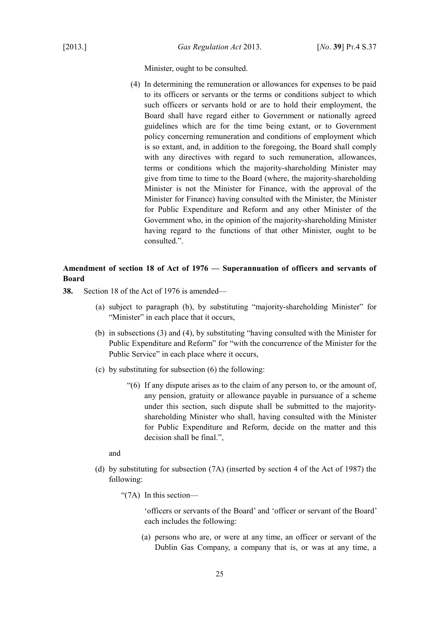Minister, ought to be consulted.

(4) In determining the remuneration or allowances for expenses to be paid to its officers or servants or the terms or conditions subject to which such officers or servants hold or are to hold their employment, the Board shall have regard either to Government or nationally agreed guidelines which are for the time being extant, or to Government policy concerning remuneration and conditions of employment which is so extant, and, in addition to the foregoing, the Board shall comply with any directives with regard to such remuneration, allowances, terms or conditions which the majority-shareholding Minister may give from time to time to the Board (where, the majority-shareholding Minister is not the Minister for Finance, with the approval of the Minister for Finance) having consulted with the Minister, the Minister for Public Expenditure and Reform and any other Minister of the Government who, in the opinion of the majority-shareholding Minister having regard to the functions of that other Minister, ought to be consulted.".

# <span id="page-26-0"></span>**Amendment of section 18 of Act of 1976 — Superannuation of officers and servants of Board**

- **38.** Section 18 of the Act of 1976 is amended—
	- (a) subject to paragraph (b), by substituting "majority-shareholding Minister" for "Minister" in each place that it occurs,
	- (b) in subsections (3) and (4), by substituting "having consulted with the Minister for Public Expenditure and Reform" for "with the concurrence of the Minister for the Public Service" in each place where it occurs,
	- (c) by substituting for subsection (6) the following:
		- "(6) If any dispute arises as to the claim of any person to, or the amount of, any pension, gratuity or allowance payable in pursuance of a scheme under this section, such dispute shall be submitted to the majorityshareholding Minister who shall, having consulted with the Minister for Public Expenditure and Reform, decide on the matter and this decision shall be final.",

and

(d) by substituting for subsection (7A) (inserted by section 4 of the Act of 1987) the following:

"(7A) In this section—

'officers or servants of the Board' and 'officer or servant of the Board' each includes the following:

(a) persons who are, or were at any time, an officer or servant of the Dublin Gas Company, a company that is, or was at any time, a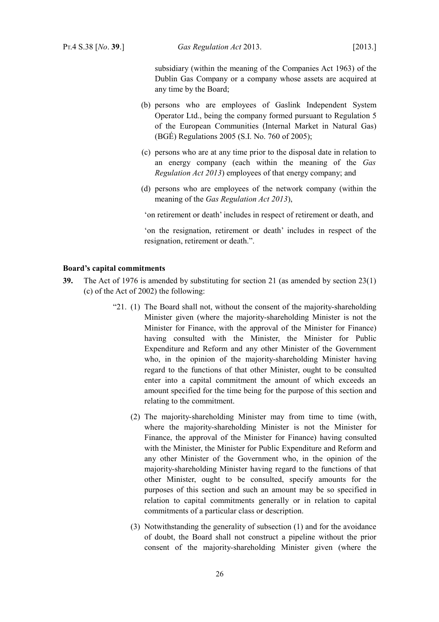subsidiary (within the meaning of the [Companies Act 1963\)](http://www.irishstatutebook.ie/1963/en/act/pub/0033/index.html) of the Dublin Gas Company or a company whose assets are acquired at any time by the Board;

- (b) persons who are employees of Gaslink Independent System Operator Ltd., being the company formed pursuant to Regulation 5 of the European Communities (Internal Market in Natural Gas) (BGÉ) Regulations 2005 (S.I. No. 760 of 2005);
- (c) persons who are at any time prior to the disposal date in relation to an energy company (each within the meaning of the *Gas Regulation Act 2013*) employees of that energy company; and
- (d) persons who are employees of the network company (within the meaning of the *Gas Regulation Act 2013*),

'on retirement or death' includes in respect of retirement or death, and

'on the resignation, retirement or death' includes in respect of the resignation, retirement or death.".

#### <span id="page-27-0"></span>**Board's capital commitments**

- **39.** The Act of 1976 is amended by substituting for section 21 (as amended by section 23(1) (c) of the Act of 2002) the following:
	- "21. (1) The Board shall not, without the consent of the majority-shareholding Minister given (where the majority-shareholding Minister is not the Minister for Finance, with the approval of the Minister for Finance) having consulted with the Minister, the Minister for Public Expenditure and Reform and any other Minister of the Government who, in the opinion of the majority-shareholding Minister having regard to the functions of that other Minister, ought to be consulted enter into a capital commitment the amount of which exceeds an amount specified for the time being for the purpose of this section and relating to the commitment.
		- (2) The majority-shareholding Minister may from time to time (with, where the majority-shareholding Minister is not the Minister for Finance, the approval of the Minister for Finance) having consulted with the Minister, the Minister for Public Expenditure and Reform and any other Minister of the Government who, in the opinion of the majority-shareholding Minister having regard to the functions of that other Minister, ought to be consulted, specify amounts for the purposes of this section and such an amount may be so specified in relation to capital commitments generally or in relation to capital commitments of a particular class or description.
		- (3) Notwithstanding the generality of subsection (1) and for the avoidance of doubt, the Board shall not construct a pipeline without the prior consent of the majority-shareholding Minister given (where the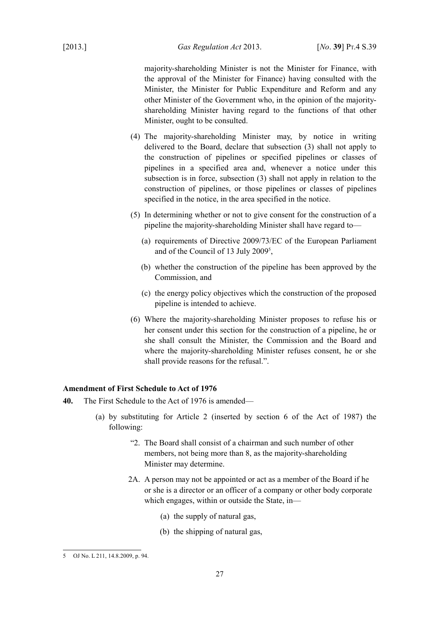majority-shareholding Minister is not the Minister for Finance, with the approval of the Minister for Finance) having consulted with the Minister, the Minister for Public Expenditure and Reform and any other Minister of the Government who, in the opinion of the majorityshareholding Minister having regard to the functions of that other Minister, ought to be consulted.

- (4) The majority-shareholding Minister may, by notice in writing delivered to the Board, declare that subsection (3) shall not apply to the construction of pipelines or specified pipelines or classes of pipelines in a specified area and, whenever a notice under this subsection is in force, subsection (3) shall not apply in relation to the construction of pipelines, or those pipelines or classes of pipelines specified in the notice, in the area specified in the notice.
- (5) In determining whether or not to give consent for the construction of a pipeline the majority-shareholding Minister shall have regard to—
	- (a) requirements of Directive 2009/73/EC of the European Parliament and of the Council of 13 July 2009<sup>[5](#page-28-1)</sup>,
	- (b) whether the construction of the pipeline has been approved by the Commission, and
	- (c) the energy policy objectives which the construction of the proposed pipeline is intended to achieve.
- (6) Where the majority-shareholding Minister proposes to refuse his or her consent under this section for the construction of a pipeline, he or she shall consult the Minister, the Commission and the Board and where the majority-shareholding Minister refuses consent, he or she shall provide reasons for the refusal.".

#### <span id="page-28-0"></span>**Amendment of First Schedule to Act of 1976**

- **40.** The First Schedule to the Act of 1976 is amended—
	- (a) by substituting for Article 2 (inserted by section 6 of the Act of 1987) the following:
		- "2. The Board shall consist of a chairman and such number of other members, not being more than 8, as the majority-shareholding Minister may determine.
		- 2A. A person may not be appointed or act as a member of the Board if he or she is a director or an officer of a company or other body corporate which engages, within or outside the State, in—
			- (a) the supply of natural gas,
			- (b) the shipping of natural gas,

<span id="page-28-1"></span><sup>5</sup> OJ No. L 211, 14.8.2009, p. 94.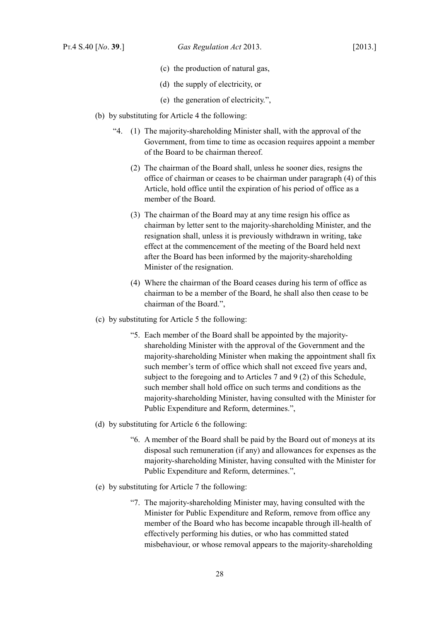- (c) the production of natural gas,
- (d) the supply of electricity, or
- (e) the generation of electricity.",
- (b) by substituting for Article 4 the following:
	- "4. (1) The majority-shareholding Minister shall, with the approval of the Government, from time to time as occasion requires appoint a member of the Board to be chairman thereof.
		- (2) The chairman of the Board shall, unless he sooner dies, resigns the office of chairman or ceases to be chairman under paragraph (4) of this Article, hold office until the expiration of his period of office as a member of the Board.
		- (3) The chairman of the Board may at any time resign his office as chairman by letter sent to the majority-shareholding Minister, and the resignation shall, unless it is previously withdrawn in writing, take effect at the commencement of the meeting of the Board held next after the Board has been informed by the majority-shareholding Minister of the resignation.
		- (4) Where the chairman of the Board ceases during his term of office as chairman to be a member of the Board, he shall also then cease to be chairman of the Board.",
- (c) by substituting for Article 5 the following:
	- "5. Each member of the Board shall be appointed by the majorityshareholding Minister with the approval of the Government and the majority-shareholding Minister when making the appointment shall fix such member's term of office which shall not exceed five years and, subject to the foregoing and to Articles 7 and 9 (2) of this Schedule, such member shall hold office on such terms and conditions as the majority-shareholding Minister, having consulted with the Minister for Public Expenditure and Reform, determines.",
- (d) by substituting for Article 6 the following:
	- "6. A member of the Board shall be paid by the Board out of moneys at its disposal such remuneration (if any) and allowances for expenses as the majority-shareholding Minister, having consulted with the Minister for Public Expenditure and Reform, determines.",
- (e) by substituting for Article 7 the following:
	- "7. The majority-shareholding Minister may, having consulted with the Minister for Public Expenditure and Reform, remove from office any member of the Board who has become incapable through ill-health of effectively performing his duties, or who has committed stated misbehaviour, or whose removal appears to the majority-shareholding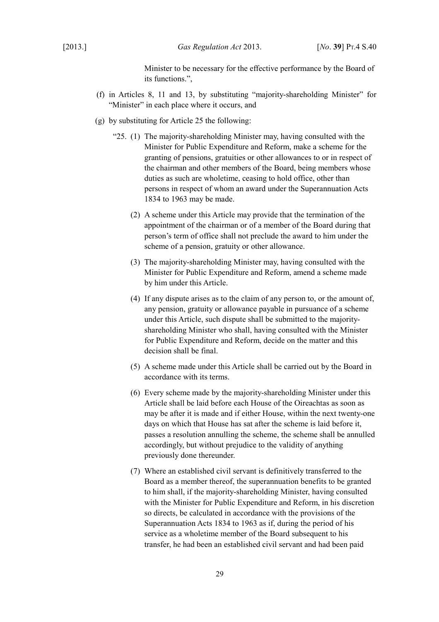Minister to be necessary for the effective performance by the Board of its functions.",

- (f) in Articles 8, 11 and 13, by substituting "majority-shareholding Minister" for "Minister" in each place where it occurs, and
- (g) by substituting for Article 25 the following:
	- "25. (1) The majority-shareholding Minister may, having consulted with the Minister for Public Expenditure and Reform, make a scheme for the granting of pensions, gratuities or other allowances to or in respect of the chairman and other members of the Board, being members whose duties as such are wholetime, ceasing to hold office, other than persons in respect of whom an award under the Superannuation Acts 1834 to 1963 may be made.
		- (2) A scheme under this Article may provide that the termination of the appointment of the chairman or of a member of the Board during that person's term of office shall not preclude the award to him under the scheme of a pension, gratuity or other allowance.
		- (3) The majority-shareholding Minister may, having consulted with the Minister for Public Expenditure and Reform, amend a scheme made by him under this Article.
		- (4) If any dispute arises as to the claim of any person to, or the amount of, any pension, gratuity or allowance payable in pursuance of a scheme under this Article, such dispute shall be submitted to the majorityshareholding Minister who shall, having consulted with the Minister for Public Expenditure and Reform, decide on the matter and this decision shall be final.
		- (5) A scheme made under this Article shall be carried out by the Board in accordance with its terms.
		- (6) Every scheme made by the majority-shareholding Minister under this Article shall be laid before each House of the Oireachtas as soon as may be after it is made and if either House, within the next twenty-one days on which that House has sat after the scheme is laid before it, passes a resolution annulling the scheme, the scheme shall be annulled accordingly, but without prejudice to the validity of anything previously done thereunder.
		- (7) Where an established civil servant is definitively transferred to the Board as a member thereof, the superannuation benefits to be granted to him shall, if the majority-shareholding Minister, having consulted with the Minister for Public Expenditure and Reform, in his discretion so directs, be calculated in accordance with the provisions of the Superannuation Acts 1834 to 1963 as if, during the period of his service as a wholetime member of the Board subsequent to his transfer, he had been an established civil servant and had been paid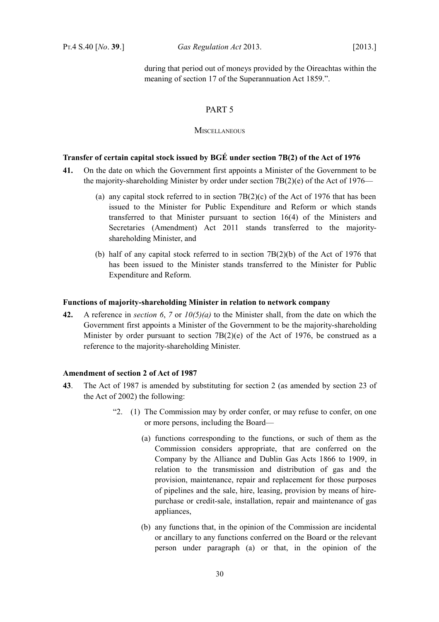during that period out of moneys provided by the Oireachtas within the meaning of section 17 of the Superannuation Act 1859.".

# <span id="page-31-4"></span>PART 5

#### <span id="page-31-3"></span>**MISCELLANEOUS**

# <span id="page-31-2"></span>**Transfer of certain capital stock issued by BGÉ under section 7B(2) of the Act of 1976**

- **41.** On the date on which the Government first appoints a Minister of the Government to be the majority-shareholding Minister by order under section  $7B(2)(e)$  of the Act of 1976—
	- (a) any capital stock referred to in section  $7B(2)(c)$  of the Act of 1976 that has been issued to the Minister for Public Expenditure and Reform or which stands transferred to that Minister pursuant to section 16(4) of the [Ministers and](http://www.irishstatutebook.ie/2011/en/act/pub/0010/index.html) [Secretaries \(Amendment\) Act 2011](http://www.irishstatutebook.ie/2011/en/act/pub/0010/index.html) stands transferred to the majorityshareholding Minister, and
	- (b) half of any capital stock referred to in section 7B(2)(b) of the Act of 1976 that has been issued to the Minister stands transferred to the Minister for Public Expenditure and Reform.

#### <span id="page-31-1"></span>**Functions of majority-shareholding Minister in relation to network company**

**42.** A reference in *section [6](#page-9-7)*, *[7](#page-9-6)* or *[10](#page-11-6)[\(5\)](#page-11-5)[\(a\)](#page-11-4)* to the Minister shall, from the date on which the Government first appoints a Minister of the Government to be the majority-shareholding Minister by order pursuant to section  $7B(2)(e)$  of the Act of 1976, be construed as a reference to the majority-shareholding Minister.

## <span id="page-31-0"></span>**Amendment of section 2 of Act of 1987**

- **43**. The Act of 1987 is amended by substituting for section 2 (as amended by section 23 of the Act of 2002) the following:
	- "2. (1) The Commission may by order confer, or may refuse to confer, on one or more persons, including the Board—
		- (a) functions corresponding to the functions, or such of them as the Commission considers appropriate, that are conferred on the Company by the Alliance and Dublin Gas Acts 1866 to 1909, in relation to the transmission and distribution of gas and the provision, maintenance, repair and replacement for those purposes of pipelines and the sale, hire, leasing, provision by means of hirepurchase or credit-sale, installation, repair and maintenance of gas appliances,
		- (b) any functions that, in the opinion of the Commission are incidental or ancillary to any functions conferred on the Board or the relevant person under paragraph (a) or that, in the opinion of the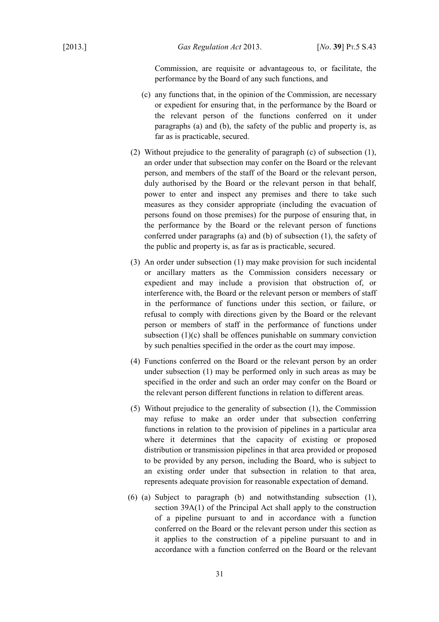Commission, are requisite or advantageous to, or facilitate, the performance by the Board of any such functions, and

- (c) any functions that, in the opinion of the Commission, are necessary or expedient for ensuring that, in the performance by the Board or the relevant person of the functions conferred on it under paragraphs (a) and (b), the safety of the public and property is, as far as is practicable, secured.
- (2) Without prejudice to the generality of paragraph (c) of subsection (1), an order under that subsection may confer on the Board or the relevant person, and members of the staff of the Board or the relevant person, duly authorised by the Board or the relevant person in that behalf, power to enter and inspect any premises and there to take such measures as they consider appropriate (including the evacuation of persons found on those premises) for the purpose of ensuring that, in the performance by the Board or the relevant person of functions conferred under paragraphs (a) and (b) of subsection (1), the safety of the public and property is, as far as is practicable, secured.
- (3) An order under subsection (1) may make provision for such incidental or ancillary matters as the Commission considers necessary or expedient and may include a provision that obstruction of, or interference with, the Board or the relevant person or members of staff in the performance of functions under this section, or failure, or refusal to comply with directions given by the Board or the relevant person or members of staff in the performance of functions under subsection (1)(c) shall be offences punishable on summary conviction by such penalties specified in the order as the court may impose.
- (4) Functions conferred on the Board or the relevant person by an order under subsection (1) may be performed only in such areas as may be specified in the order and such an order may confer on the Board or the relevant person different functions in relation to different areas.
- (5) Without prejudice to the generality of subsection (1), the Commission may refuse to make an order under that subsection conferring functions in relation to the provision of pipelines in a particular area where it determines that the capacity of existing or proposed distribution or transmission pipelines in that area provided or proposed to be provided by any person, including the Board, who is subject to an existing order under that subsection in relation to that area, represents adequate provision for reasonable expectation of demand.
- (6) (a) Subject to paragraph (b) and notwithstanding subsection (1), section 39A(1) of the Principal Act shall apply to the construction of a pipeline pursuant to and in accordance with a function conferred on the Board or the relevant person under this section as it applies to the construction of a pipeline pursuant to and in accordance with a function conferred on the Board or the relevant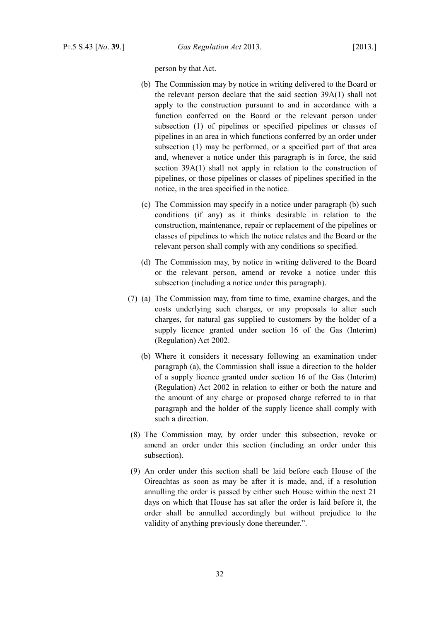person by that Act.

- (b) The Commission may by notice in writing delivered to the Board or the relevant person declare that the said section 39A(1) shall not apply to the construction pursuant to and in accordance with a function conferred on the Board or the relevant person under subsection (1) of pipelines or specified pipelines or classes of pipelines in an area in which functions conferred by an order under subsection (1) may be performed, or a specified part of that area and, whenever a notice under this paragraph is in force, the said section 39A(1) shall not apply in relation to the construction of pipelines, or those pipelines or classes of pipelines specified in the notice, in the area specified in the notice.
- (c) The Commission may specify in a notice under paragraph (b) such conditions (if any) as it thinks desirable in relation to the construction, maintenance, repair or replacement of the pipelines or classes of pipelines to which the notice relates and the Board or the relevant person shall comply with any conditions so specified.
- (d) The Commission may, by notice in writing delivered to the Board or the relevant person, amend or revoke a notice under this subsection (including a notice under this paragraph).
- (7) (a) The Commission may, from time to time, examine charges, and the costs underlying such charges, or any proposals to alter such charges, for natural gas supplied to customers by the holder of a supply licence granted under section 16 of the [Gas \(Interim\)](http://www.irishstatutebook.ie/2002/en/act/pub/0010/index.html) [\(Regulation\) Act 2002.](http://www.irishstatutebook.ie/2002/en/act/pub/0010/index.html)
	- (b) Where it considers it necessary following an examination under paragraph (a), the Commission shall issue a direction to the holder of a supply licence granted under section 16 of the [Gas \(Interim\)](http://www.irishstatutebook.ie/2002/en/act/pub/0010/index.html) [\(Regulation\) Act 2002](http://www.irishstatutebook.ie/2002/en/act/pub/0010/index.html) in relation to either or both the nature and the amount of any charge or proposed charge referred to in that paragraph and the holder of the supply licence shall comply with such a direction.
- (8) The Commission may, by order under this subsection, revoke or amend an order under this section (including an order under this subsection).
- (9) An order under this section shall be laid before each House of the Oireachtas as soon as may be after it is made, and, if a resolution annulling the order is passed by either such House within the next 21 days on which that House has sat after the order is laid before it, the order shall be annulled accordingly but without prejudice to the validity of anything previously done thereunder.".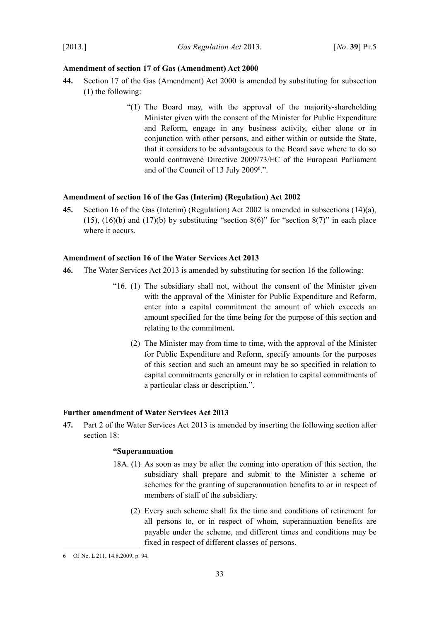# <span id="page-34-3"></span>**Amendment of section 17 of Gas (Amendment) Act 2000**

- **44.** Section 17 of the [Gas \(Amendment\) Act 2000](http://www.irishstatutebook.ie/2000/en/act/pub/0026/index.html) is amended by substituting for subsection (1) the following:
	- "(1) The Board may, with the approval of the majority-shareholding Minister given with the consent of the Minister for Public Expenditure and Reform, engage in any business activity, either alone or in conjunction with other persons, and either within or outside the State, that it considers to be advantageous to the Board save where to do so would contravene Directive 2009/73/EC of the European Parliament and of the Council of 13 July 2009<sup>[6](#page-34-5)</sup>.".

### <span id="page-34-2"></span>**Amendment of section 16 of the Gas (Interim) (Regulation) Act 2002**

**45.** Section 16 of the [Gas \(Interim\) \(Regulation\) Act 2002](http://www.irishstatutebook.ie/2002/en/act/pub/0010/index.html) is amended in subsections (14)(a), (15), (16)(b) and (17)(b) by substituting "section 8(6)" for "section 8(7)" in each place where it occurs.

# <span id="page-34-1"></span>**Amendment of section 16 of the Water Services Act 2013**

- **46.** The [Water Services Act 2013](http://www.irishstatutebook.ie/2013/en/act/pub/0006/index.html) is amended by substituting for section 16 the following:
	- "16. (1) The subsidiary shall not, without the consent of the Minister given with the approval of the Minister for Public Expenditure and Reform, enter into a capital commitment the amount of which exceeds an amount specified for the time being for the purpose of this section and relating to the commitment.
		- (2) The Minister may from time to time, with the approval of the Minister for Public Expenditure and Reform, specify amounts for the purposes of this section and such an amount may be so specified in relation to capital commitments generally or in relation to capital commitments of a particular class or description.".

#### <span id="page-34-0"></span>**Further amendment of Water Services Act 2013**

<span id="page-34-4"></span>**47.** Part 2 of the Water Services Act 2013 is amended by inserting the following section after section 18:

# **"Superannuation**

- 18A. (1) As soon as may be after the coming into operation of this section, the subsidiary shall prepare and submit to the Minister a scheme or schemes for the granting of superannuation benefits to or in respect of members of staff of the subsidiary.
	- (2) Every such scheme shall fix the time and conditions of retirement for all persons to, or in respect of whom, superannuation benefits are payable under the scheme, and different times and conditions may be fixed in respect of different classes of persons.

<span id="page-34-5"></span><sup>6</sup> OJ No. L 211, 14.8.2009, p. 94.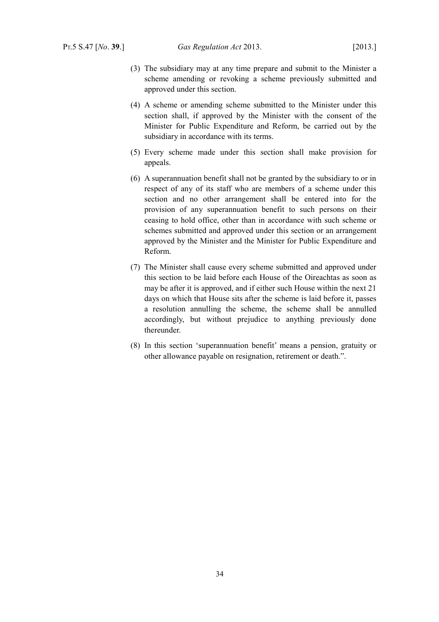- (3) The subsidiary may at any time prepare and submit to the Minister a scheme amending or revoking a scheme previously submitted and approved under this section.
- (4) A scheme or amending scheme submitted to the Minister under this section shall, if approved by the Minister with the consent of the Minister for Public Expenditure and Reform, be carried out by the subsidiary in accordance with its terms.
- (5) Every scheme made under this section shall make provision for appeals.
- (6) A superannuation benefit shall not be granted by the subsidiary to or in respect of any of its staff who are members of a scheme under this section and no other arrangement shall be entered into for the provision of any superannuation benefit to such persons on their ceasing to hold office, other than in accordance with such scheme or schemes submitted and approved under this section or an arrangement approved by the Minister and the Minister for Public Expenditure and Reform.
- (7) The Minister shall cause every scheme submitted and approved under this section to be laid before each House of the Oireachtas as soon as may be after it is approved, and if either such House within the next 21 days on which that House sits after the scheme is laid before it, passes a resolution annulling the scheme, the scheme shall be annulled accordingly, but without prejudice to anything previously done thereunder.
- (8) In this section 'superannuation benefit' means a pension, gratuity or other allowance payable on resignation, retirement or death.".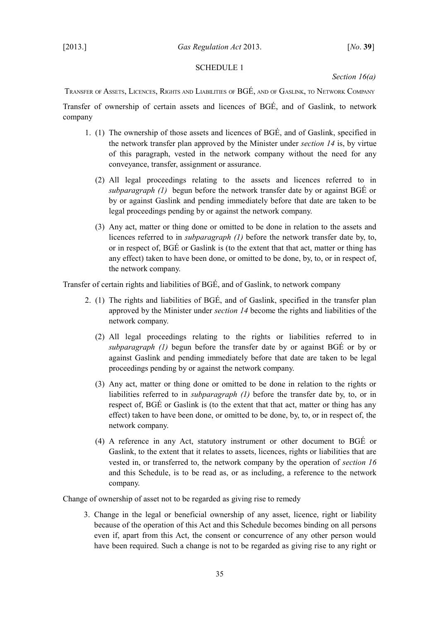# <span id="page-36-2"></span><span id="page-36-1"></span>SCHEDULE 1

# *Section [16](#page-13-10)[\(a\)](#page-13-11)*

<span id="page-36-0"></span>TRANSFER OF ASSETS, LICENCES, RIGHTS AND LIABILITIES OF BGÉ, AND OF GASLINK, TO NETWORK COMPANY

Transfer of ownership of certain assets and licences of BGÉ, and of Gaslink, to network company

- <span id="page-36-4"></span>1. (1) The ownership of those assets and licences of BGÉ, and of Gaslink, specified in the network transfer plan approved by the Minister under *section [14](#page-13-6)* is, by virtue of this paragraph, vested in the network company without the need for any conveyance, transfer, assignment or assurance.
	- (2) All legal proceedings relating to the assets and licences referred to in *subparagraph [\(1\)](#page-36-4)* begun before the network transfer date by or against BGÉ or by or against Gaslink and pending immediately before that date are taken to be legal proceedings pending by or against the network company.
	- (3) Any act, matter or thing done or omitted to be done in relation to the assets and licences referred to in *subparagraph [\(1\)](#page-36-4)* before the network transfer date by, to, or in respect of, BGÉ or Gaslink is (to the extent that that act, matter or thing has any effect) taken to have been done, or omitted to be done, by, to, or in respect of, the network company.

Transfer of certain rights and liabilities of BGÉ, and of Gaslink, to network company

- <span id="page-36-3"></span>2. (1) The rights and liabilities of BGÉ, and of Gaslink, specified in the transfer plan approved by the Minister under *section [14](#page-13-6)* become the rights and liabilities of the network company.
	- (2) All legal proceedings relating to the rights or liabilities referred to in *subparagraph [\(1\)](#page-36-3)* begun before the transfer date by or against BGÉ or by or against Gaslink and pending immediately before that date are taken to be legal proceedings pending by or against the network company.
	- (3) Any act, matter or thing done or omitted to be done in relation to the rights or liabilities referred to in *subparagraph [\(1\)](#page-36-3)* before the transfer date by, to, or in respect of, BGÉ or Gaslink is (to the extent that that act, matter or thing has any effect) taken to have been done, or omitted to be done, by, to, or in respect of, the network company.
	- (4) A reference in any Act, statutory instrument or other document to BGÉ or Gaslink, to the extent that it relates to assets, licences, rights or liabilities that are vested in, or transferred to, the network company by the operation of *section [16](#page-13-10)* and this Schedule, is to be read as, or as including, a reference to the network company.

Change of ownership of asset not to be regarded as giving rise to remedy

3. Change in the legal or beneficial ownership of any asset, licence, right or liability because of the operation of this Act and this Schedule becomes binding on all persons even if, apart from this Act, the consent or concurrence of any other person would have been required. Such a change is not to be regarded as giving rise to any right or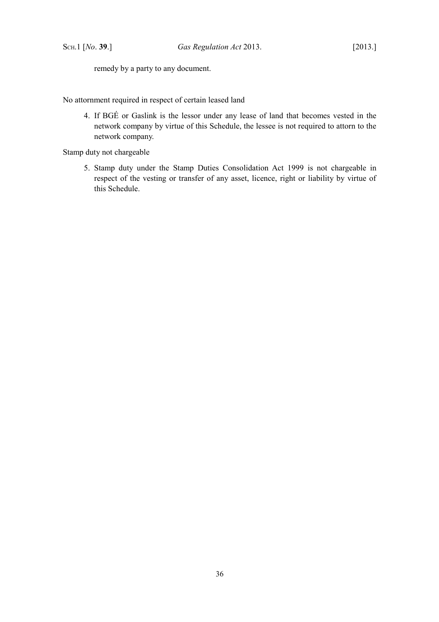remedy by a party to any document.

No attornment required in respect of certain leased land

4. If BGÉ or Gaslink is the lessor under any lease of land that becomes vested in the network company by virtue of this Schedule, the lessee is not required to attorn to the network company.

Stamp duty not chargeable

5. Stamp duty under the [Stamp Duties Consolidation Act 1999](http://www.irishstatutebook.ie/1999/en/act/pub/0031/index.html) is not chargeable in respect of the vesting or transfer of any asset, licence, right or liability by virtue of this Schedule.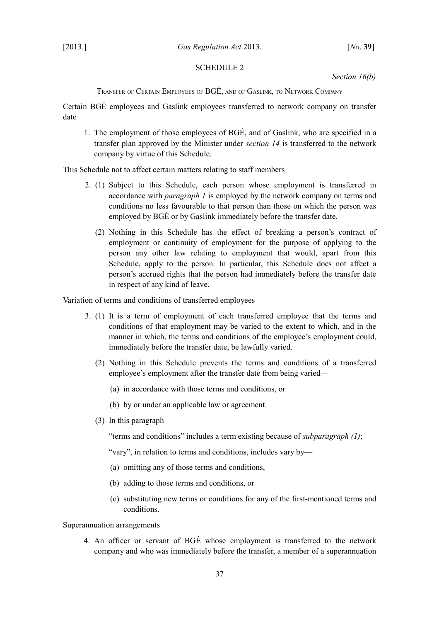# <span id="page-38-2"></span><span id="page-38-1"></span>SCHEDULE 2

*Section [16](#page-13-10)[\(b\)](#page-14-4)*

<span id="page-38-0"></span>TRANSFER OF CERTAIN EMPLOYEES OF BGÉ, AND OF GASLINK, TO NETWORK COMPANY

Certain BGÉ employees and Gaslink employees transferred to network company on transfer date

<span id="page-38-4"></span>1. The employment of those employees of BGÉ, and of Gaslink, who are specified in a transfer plan approved by the Minister under *section [14](#page-13-6)* is transferred to the network company by virtue of this Schedule.

This Schedule not to affect certain matters relating to staff members

- 2. (1) Subject to this Schedule, each person whose employment is transferred in accordance with *paragraph [1](#page-38-4)* is employed by the network company on terms and conditions no less favourable to that person than those on which the person was employed by BGÉ or by Gaslink immediately before the transfer date.
	- (2) Nothing in this Schedule has the effect of breaking a person's contract of employment or continuity of employment for the purpose of applying to the person any other law relating to employment that would, apart from this Schedule, apply to the person. In particular, this Schedule does not affect a person's accrued rights that the person had immediately before the transfer date in respect of any kind of leave.

Variation of terms and conditions of transferred employees

- <span id="page-38-3"></span>3. (1) It is a term of employment of each transferred employee that the terms and conditions of that employment may be varied to the extent to which, and in the manner in which, the terms and conditions of the employee's employment could, immediately before the transfer date, be lawfully varied.
	- (2) Nothing in this Schedule prevents the terms and conditions of a transferred employee's employment after the transfer date from being varied—
		- (a) in accordance with those terms and conditions, or
		- (b) by or under an applicable law or agreement.
	- (3) In this paragraph—

"terms and conditions" includes a term existing because of *subparagraph [\(1\)](#page-38-3)*;

"vary", in relation to terms and conditions, includes vary by—

- (a) omitting any of those terms and conditions,
- (b) adding to those terms and conditions, or
- (c) substituting new terms or conditions for any of the first-mentioned terms and conditions.

Superannuation arrangements

4. An officer or servant of BGÉ whose employment is transferred to the network company and who was immediately before the transfer, a member of a superannuation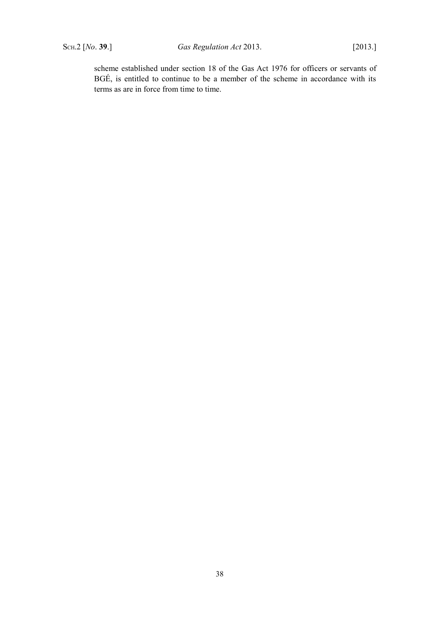scheme established under section 18 of the [Gas Act 1976](http://www.irishstatutebook.ie/1976/en/act/pub/0030/index.html) for officers or servants of BGÉ, is entitled to continue to be a member of the scheme in accordance with its terms as are in force from time to time.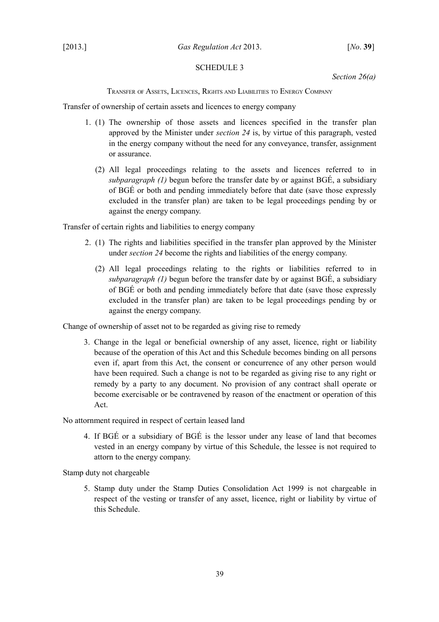# <span id="page-40-2"></span><span id="page-40-1"></span>SCHEDULE 3

*Section [26](#page-17-4)[\(a\)](#page-17-3)*

<span id="page-40-0"></span>TRANSFER OF ASSETS, LICENCES, RIGHTS AND LIABILITIES TO ENERGY COMPANY

Transfer of ownership of certain assets and licences to energy company

- <span id="page-40-4"></span>1. (1) The ownership of those assets and licences specified in the transfer plan approved by the Minister under *section [24](#page-16-4)* is, by virtue of this paragraph, vested in the energy company without the need for any conveyance, transfer, assignment or assurance.
	- (2) All legal proceedings relating to the assets and licences referred to in *subparagraph [\(1\)](#page-40-4)* begun before the transfer date by or against BGÉ, a subsidiary of BGÉ or both and pending immediately before that date (save those expressly excluded in the transfer plan) are taken to be legal proceedings pending by or against the energy company.

Transfer of certain rights and liabilities to energy company

- <span id="page-40-3"></span>2. (1) The rights and liabilities specified in the transfer plan approved by the Minister under *section [24](#page-16-4)* become the rights and liabilities of the energy company.
	- (2) All legal proceedings relating to the rights or liabilities referred to in *subparagraph [\(1\)](#page-40-3)* begun before the transfer date by or against BGÉ, a subsidiary of BGÉ or both and pending immediately before that date (save those expressly excluded in the transfer plan) are taken to be legal proceedings pending by or against the energy company.

Change of ownership of asset not to be regarded as giving rise to remedy

3. Change in the legal or beneficial ownership of any asset, licence, right or liability because of the operation of this Act and this Schedule becomes binding on all persons even if, apart from this Act, the consent or concurrence of any other person would have been required. Such a change is not to be regarded as giving rise to any right or remedy by a party to any document. No provision of any contract shall operate or become exercisable or be contravened by reason of the enactment or operation of this Act.

No attornment required in respect of certain leased land

4. If BGÉ or a subsidiary of BGÉ is the lessor under any lease of land that becomes vested in an energy company by virtue of this Schedule, the lessee is not required to attorn to the energy company.

Stamp duty not chargeable

5. Stamp duty under the [Stamp Duties Consolidation Act 1999](http://www.irishstatutebook.ie/1999/en/act/pub/0031/index.html) is not chargeable in respect of the vesting or transfer of any asset, licence, right or liability by virtue of this Schedule.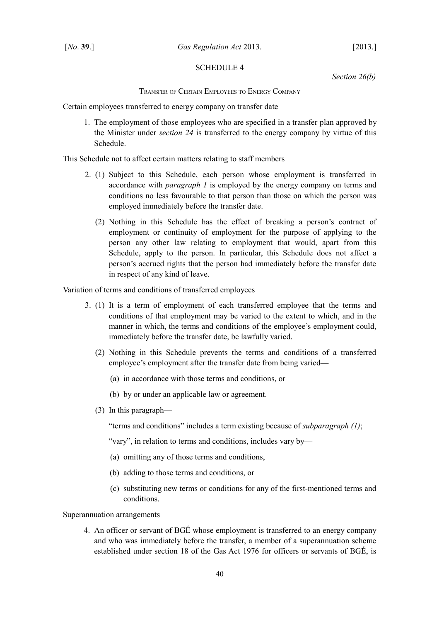# <span id="page-41-2"></span><span id="page-41-1"></span>SCHEDULE 4

*Section [26](#page-17-4)[\(b\)](#page-17-6)*

<span id="page-41-0"></span>TRANSFER OF CERTAIN EMPLOYEES TO ENERGY COMPANY

Certain employees transferred to energy company on transfer date

<span id="page-41-4"></span>1. The employment of those employees who are specified in a transfer plan approved by the Minister under *section [24](#page-16-4)* is transferred to the energy company by virtue of this Schedule.

This Schedule not to affect certain matters relating to staff members

- 2. (1) Subject to this Schedule, each person whose employment is transferred in accordance with *paragraph [1](#page-41-4)* is employed by the energy company on terms and conditions no less favourable to that person than those on which the person was employed immediately before the transfer date.
	- (2) Nothing in this Schedule has the effect of breaking a person's contract of employment or continuity of employment for the purpose of applying to the person any other law relating to employment that would, apart from this Schedule, apply to the person. In particular, this Schedule does not affect a person's accrued rights that the person had immediately before the transfer date in respect of any kind of leave.

Variation of terms and conditions of transferred employees

- <span id="page-41-3"></span>3. (1) It is a term of employment of each transferred employee that the terms and conditions of that employment may be varied to the extent to which, and in the manner in which, the terms and conditions of the employee's employment could, immediately before the transfer date, be lawfully varied.
	- (2) Nothing in this Schedule prevents the terms and conditions of a transferred employee's employment after the transfer date from being varied—
		- (a) in accordance with those terms and conditions, or
		- (b) by or under an applicable law or agreement.
	- (3) In this paragraph—

"terms and conditions" includes a term existing because of *subparagraph [\(1\)](#page-41-3)*;

"vary", in relation to terms and conditions, includes vary by—

- (a) omitting any of those terms and conditions,
- (b) adding to those terms and conditions, or
- (c) substituting new terms or conditions for any of the first-mentioned terms and conditions.

Superannuation arrangements

4. An officer or servant of BGÉ whose employment is transferred to an energy company and who was immediately before the transfer, a member of a superannuation scheme established under section 18 of the [Gas Act 1976](http://www.irishstatutebook.ie/1976/en/act/pub/0030/index.html) for officers or servants of BGÉ, is